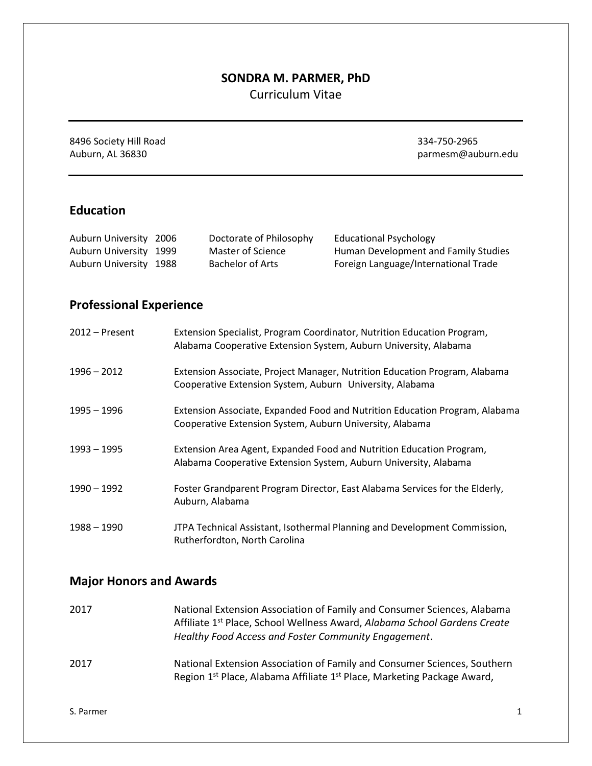# **SONDRA M. PARMER, PhD** Curriculum Vitae

8496 Society Hill Road 334-750-2965

Auburn, AL 36830 **[parmesm@auburn.edu](mailto:parmesm@auburn.edu)** 

# **Education**

| Auburn University 2006 | Doctorate of Philosophy | <b>Educational Psychology</b>        |
|------------------------|-------------------------|--------------------------------------|
| Auburn University 1999 | Master of Science       | Human Development and Family Studies |
| Auburn University 1988 | Bachelor of Arts        | Foreign Language/International Trade |

# **Professional Experience**

| $2012$ – Present | Extension Specialist, Program Coordinator, Nutrition Education Program,<br>Alabama Cooperative Extension System, Auburn University, Alabama |
|------------------|---------------------------------------------------------------------------------------------------------------------------------------------|
| $1996 - 2012$    | Extension Associate, Project Manager, Nutrition Education Program, Alabama<br>Cooperative Extension System, Auburn University, Alabama      |
| 1995 - 1996      | Extension Associate, Expanded Food and Nutrition Education Program, Alabama<br>Cooperative Extension System, Auburn University, Alabama     |
| $1993 - 1995$    | Extension Area Agent, Expanded Food and Nutrition Education Program,<br>Alabama Cooperative Extension System, Auburn University, Alabama    |
| $1990 - 1992$    | Foster Grandparent Program Director, East Alabama Services for the Elderly,<br>Auburn, Alabama                                              |
| 1988 - 1990      | JTPA Technical Assistant, Isothermal Planning and Development Commission,<br>Rutherfordton, North Carolina                                  |

# **Major Honors and Awards**

2017 National Extension Association of Family and Consumer Sciences, Alabama Affiliate 1st Place, School Wellness Award, *Alabama School Gardens Create Healthy Food Access and Foster Community Engagement*.

2017 National Extension Association of Family and Consumer Sciences, Southern Region 1<sup>st</sup> Place, Alabama Affiliate 1<sup>st</sup> Place, Marketing Package Award,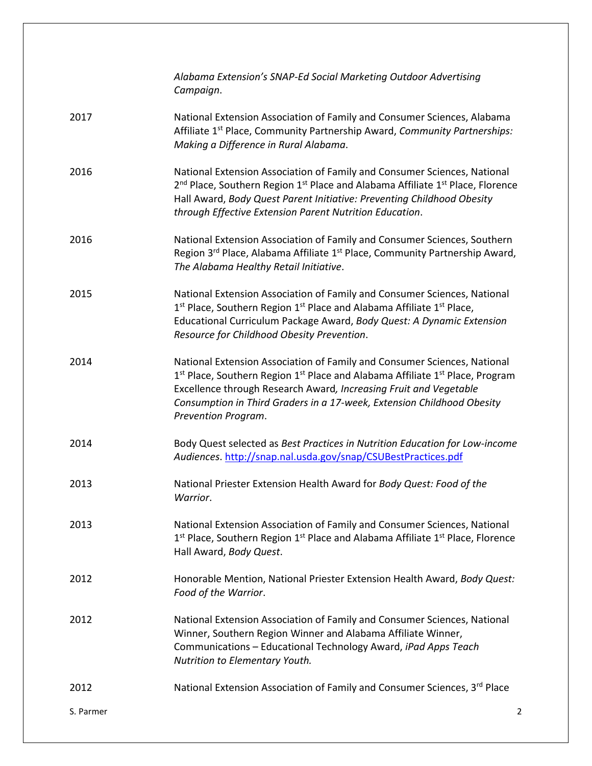|           | Alabama Extension's SNAP-Ed Social Marketing Outdoor Advertising<br>Campaign.                                                                                                                                                                                                                                                                                       |
|-----------|---------------------------------------------------------------------------------------------------------------------------------------------------------------------------------------------------------------------------------------------------------------------------------------------------------------------------------------------------------------------|
| 2017      | National Extension Association of Family and Consumer Sciences, Alabama<br>Affiliate 1 <sup>st</sup> Place, Community Partnership Award, Community Partnerships:<br>Making a Difference in Rural Alabama.                                                                                                                                                           |
| 2016      | National Extension Association of Family and Consumer Sciences, National<br>2 <sup>nd</sup> Place, Southern Region 1 <sup>st</sup> Place and Alabama Affiliate 1 <sup>st</sup> Place, Florence<br>Hall Award, Body Quest Parent Initiative: Preventing Childhood Obesity<br>through Effective Extension Parent Nutrition Education.                                 |
| 2016      | National Extension Association of Family and Consumer Sciences, Southern<br>Region 3 <sup>rd</sup> Place, Alabama Affiliate 1 <sup>st</sup> Place, Community Partnership Award,<br>The Alabama Healthy Retail Initiative.                                                                                                                                           |
| 2015      | National Extension Association of Family and Consumer Sciences, National<br>1 <sup>st</sup> Place, Southern Region 1 <sup>st</sup> Place and Alabama Affiliate 1 <sup>st</sup> Place,<br>Educational Curriculum Package Award, Body Quest: A Dynamic Extension<br>Resource for Childhood Obesity Prevention.                                                        |
| 2014      | National Extension Association of Family and Consumer Sciences, National<br>1 <sup>st</sup> Place, Southern Region 1 <sup>st</sup> Place and Alabama Affiliate 1 <sup>st</sup> Place, Program<br>Excellence through Research Award, Increasing Fruit and Vegetable<br>Consumption in Third Graders in a 17-week, Extension Childhood Obesity<br>Prevention Program. |
| 2014      | Body Quest selected as Best Practices in Nutrition Education for Low-income<br>Audiences. http://snap.nal.usda.gov/snap/CSUBestPractices.pdf                                                                                                                                                                                                                        |
| 2013      | National Priester Extension Health Award for Body Quest: Food of the<br>Warrior.                                                                                                                                                                                                                                                                                    |
| 2013      | National Extension Association of Family and Consumer Sciences, National<br>1 <sup>st</sup> Place, Southern Region 1 <sup>st</sup> Place and Alabama Affiliate 1 <sup>st</sup> Place, Florence<br>Hall Award, Body Quest.                                                                                                                                           |
| 2012      | Honorable Mention, National Priester Extension Health Award, Body Quest:<br>Food of the Warrior.                                                                                                                                                                                                                                                                    |
| 2012      | National Extension Association of Family and Consumer Sciences, National<br>Winner, Southern Region Winner and Alabama Affiliate Winner,<br>Communications - Educational Technology Award, iPad Apps Teach<br>Nutrition to Elementary Youth.                                                                                                                        |
| 2012      | National Extension Association of Family and Consumer Sciences, 3rd Place                                                                                                                                                                                                                                                                                           |
| S. Parmer | 2                                                                                                                                                                                                                                                                                                                                                                   |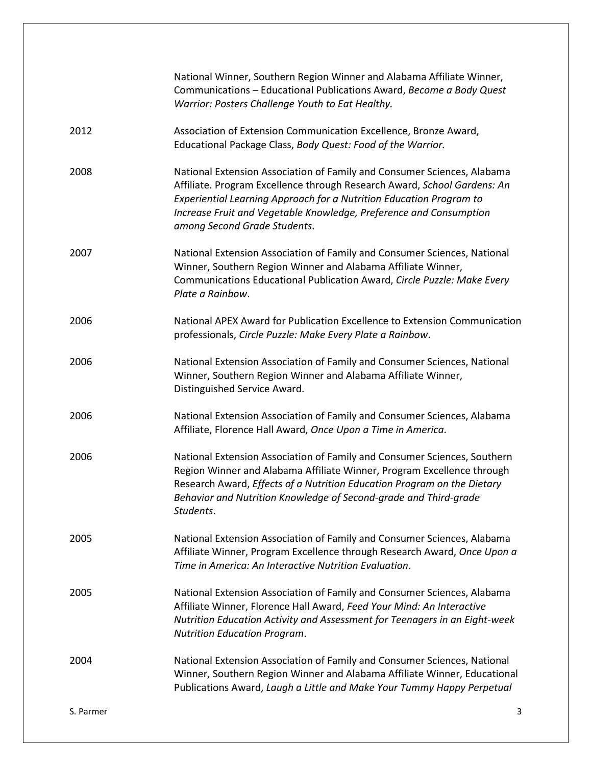|           | National Winner, Southern Region Winner and Alabama Affiliate Winner,<br>Communications - Educational Publications Award, Become a Body Quest<br>Warrior: Posters Challenge Youth to Eat Healthy.                                                                                                                                |
|-----------|----------------------------------------------------------------------------------------------------------------------------------------------------------------------------------------------------------------------------------------------------------------------------------------------------------------------------------|
| 2012      | Association of Extension Communication Excellence, Bronze Award,<br>Educational Package Class, Body Quest: Food of the Warrior.                                                                                                                                                                                                  |
| 2008      | National Extension Association of Family and Consumer Sciences, Alabama<br>Affiliate. Program Excellence through Research Award, School Gardens: An<br>Experiential Learning Approach for a Nutrition Education Program to<br>Increase Fruit and Vegetable Knowledge, Preference and Consumption<br>among Second Grade Students. |
| 2007      | National Extension Association of Family and Consumer Sciences, National<br>Winner, Southern Region Winner and Alabama Affiliate Winner,<br>Communications Educational Publication Award, Circle Puzzle: Make Every<br>Plate a Rainbow.                                                                                          |
| 2006      | National APEX Award for Publication Excellence to Extension Communication<br>professionals, Circle Puzzle: Make Every Plate a Rainbow.                                                                                                                                                                                           |
| 2006      | National Extension Association of Family and Consumer Sciences, National<br>Winner, Southern Region Winner and Alabama Affiliate Winner,<br>Distinguished Service Award.                                                                                                                                                         |
| 2006      | National Extension Association of Family and Consumer Sciences, Alabama<br>Affiliate, Florence Hall Award, Once Upon a Time in America.                                                                                                                                                                                          |
| 2006      | National Extension Association of Family and Consumer Sciences, Southern<br>Region Winner and Alabama Affiliate Winner, Program Excellence through<br>Research Award, Effects of a Nutrition Education Program on the Dietary<br>Behavior and Nutrition Knowledge of Second-grade and Third-grade<br>Students.                   |
| 2005      | National Extension Association of Family and Consumer Sciences, Alabama<br>Affiliate Winner, Program Excellence through Research Award, Once Upon a<br>Time in America: An Interactive Nutrition Evaluation.                                                                                                                     |
| 2005      | National Extension Association of Family and Consumer Sciences, Alabama<br>Affiliate Winner, Florence Hall Award, Feed Your Mind: An Interactive<br>Nutrition Education Activity and Assessment for Teenagers in an Eight-week<br><b>Nutrition Education Program.</b>                                                            |
| 2004      | National Extension Association of Family and Consumer Sciences, National<br>Winner, Southern Region Winner and Alabama Affiliate Winner, Educational<br>Publications Award, Laugh a Little and Make Your Tummy Happy Perpetual                                                                                                   |
| S. Parmer | 3                                                                                                                                                                                                                                                                                                                                |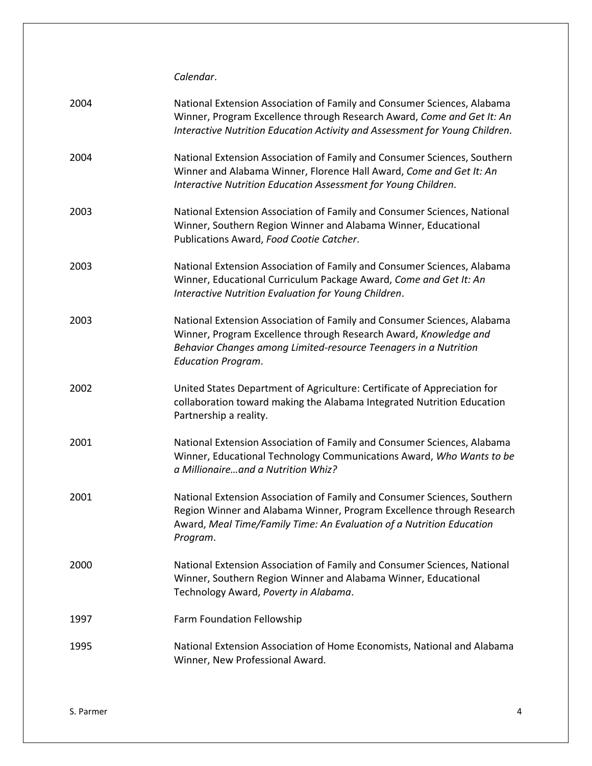|      | Calendar.                                                                                                                                                                                                                                    |
|------|----------------------------------------------------------------------------------------------------------------------------------------------------------------------------------------------------------------------------------------------|
| 2004 | National Extension Association of Family and Consumer Sciences, Alabama<br>Winner, Program Excellence through Research Award, Come and Get It: An<br>Interactive Nutrition Education Activity and Assessment for Young Children.             |
| 2004 | National Extension Association of Family and Consumer Sciences, Southern<br>Winner and Alabama Winner, Florence Hall Award, Come and Get It: An<br>Interactive Nutrition Education Assessment for Young Children.                            |
| 2003 | National Extension Association of Family and Consumer Sciences, National<br>Winner, Southern Region Winner and Alabama Winner, Educational<br>Publications Award, Food Cootie Catcher.                                                       |
| 2003 | National Extension Association of Family and Consumer Sciences, Alabama<br>Winner, Educational Curriculum Package Award, Come and Get It: An<br>Interactive Nutrition Evaluation for Young Children.                                         |
| 2003 | National Extension Association of Family and Consumer Sciences, Alabama<br>Winner, Program Excellence through Research Award, Knowledge and<br>Behavior Changes among Limited-resource Teenagers in a Nutrition<br><b>Education Program.</b> |
| 2002 | United States Department of Agriculture: Certificate of Appreciation for<br>collaboration toward making the Alabama Integrated Nutrition Education<br>Partnership a reality.                                                                 |
| 2001 | National Extension Association of Family and Consumer Sciences, Alabama<br>Winner, Educational Technology Communications Award, Who Wants to be<br>a Millionaireand a Nutrition Whiz?                                                        |
| 2001 | National Extension Association of Family and Consumer Sciences, Southern<br>Region Winner and Alabama Winner, Program Excellence through Research<br>Award, Meal Time/Family Time: An Evaluation of a Nutrition Education<br>Program.        |
| 2000 | National Extension Association of Family and Consumer Sciences, National<br>Winner, Southern Region Winner and Alabama Winner, Educational<br>Technology Award, Poverty in Alabama.                                                          |
| 1997 | Farm Foundation Fellowship                                                                                                                                                                                                                   |
| 1995 | National Extension Association of Home Economists, National and Alabama<br>Winner, New Professional Award.                                                                                                                                   |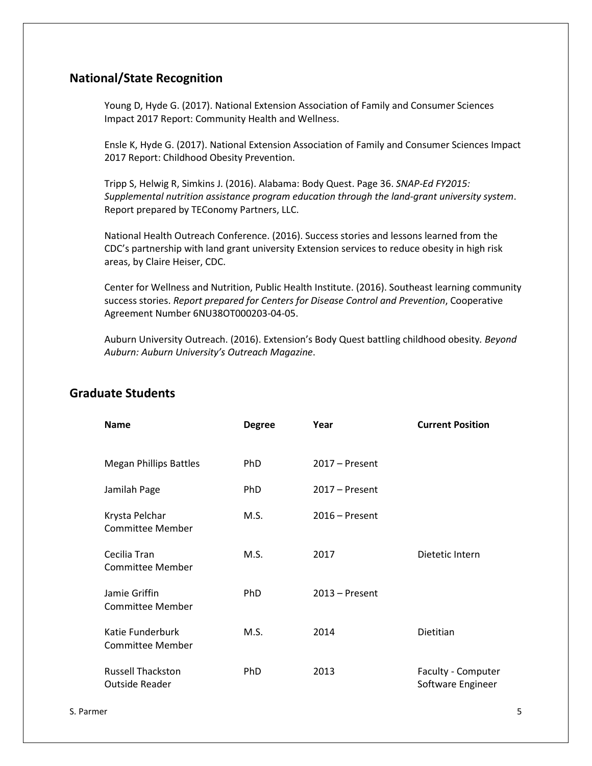# **National/State Recognition**

Young D, Hyde G. (2017). National Extension Association of Family and Consumer Sciences Impact 2017 Report: Community Health and Wellness.

Ensle K, Hyde G. (2017). National Extension Association of Family and Consumer Sciences Impact 2017 Report: Childhood Obesity Prevention.

Tripp S, Helwig R, Simkins J. (2016). Alabama: Body Quest. Page 36. *SNAP-Ed FY2015: Supplemental nutrition assistance program education through the land-grant university system*. Report prepared by TEConomy Partners, LLC.

National Health Outreach Conference. (2016). Success stories and lessons learned from the CDC's partnership with land grant university Extension services to reduce obesity in high risk areas, by Claire Heiser, CDC.

Center for Wellness and Nutrition, Public Health Institute. (2016). Southeast learning community success stories. *Report prepared for Centers for Disease Control and Prevention*, Cooperative Agreement Number 6NU38OT000203-04-05.

Auburn University Outreach. (2016). Extension's Body Quest battling childhood obesity*. Beyond Auburn: Auburn University's Outreach Magazine*.

| <b>Name</b>                                       | <b>Degree</b> | Year             | <b>Current Position</b>                 |
|---------------------------------------------------|---------------|------------------|-----------------------------------------|
| <b>Megan Phillips Battles</b>                     | <b>PhD</b>    | $2017 -$ Present |                                         |
| Jamilah Page                                      | PhD           | $2017 -$ Present |                                         |
| Krysta Pelchar<br><b>Committee Member</b>         | M.S.          | $2016$ – Present |                                         |
| Cecilia Tran<br>Committee Member                  | M.S.          | 2017             | Dietetic Intern                         |
| Jamie Griffin<br><b>Committee Member</b>          | <b>PhD</b>    | $2013$ – Present |                                         |
| Katie Funderburk<br><b>Committee Member</b>       | M.S.          | 2014             | Dietitian                               |
| <b>Russell Thackston</b><br><b>Outside Reader</b> | <b>PhD</b>    | 2013             | Faculty - Computer<br>Software Engineer |

# **Graduate Students**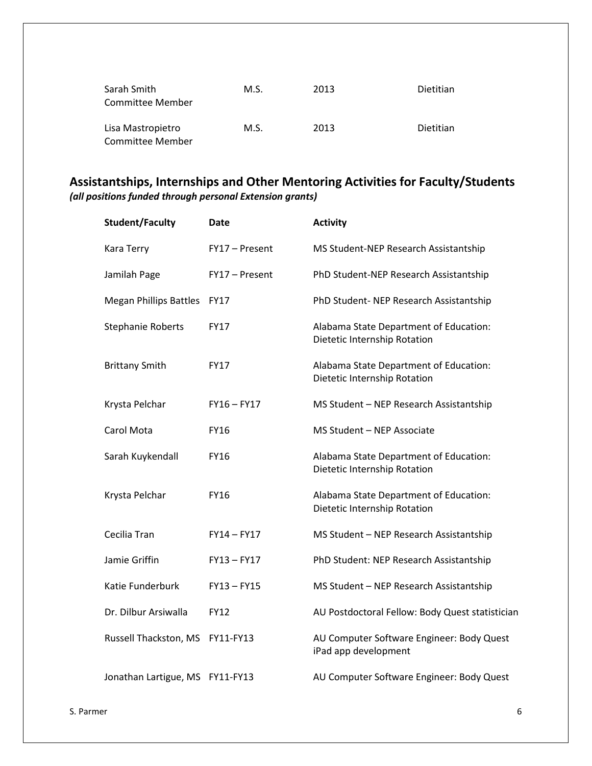| Sarah Smith<br>Committee Member       | M.S. | 2013 | Dietitian |
|---------------------------------------|------|------|-----------|
| Lisa Mastropietro<br>Committee Member | M.S. | 2013 | Dietitian |

# **Assistantships, Internships and Other Mentoring Activities for Faculty/Students** *(all positions funded through personal Extension grants)*

| <b>Student/Faculty</b>          | <b>Date</b>    | <b>Activity</b>                                                        |
|---------------------------------|----------------|------------------------------------------------------------------------|
| Kara Terry                      | FY17 - Present | MS Student-NEP Research Assistantship                                  |
| Jamilah Page                    | FY17 - Present | PhD Student-NEP Research Assistantship                                 |
| <b>Megan Phillips Battles</b>   | <b>FY17</b>    | PhD Student- NEP Research Assistantship                                |
| <b>Stephanie Roberts</b>        | FY17           | Alabama State Department of Education:<br>Dietetic Internship Rotation |
| <b>Brittany Smith</b>           | <b>FY17</b>    | Alabama State Department of Education:<br>Dietetic Internship Rotation |
| Krysta Pelchar                  | $FY16 - FY17$  | MS Student - NEP Research Assistantship                                |
| Carol Mota                      | <b>FY16</b>    | MS Student - NEP Associate                                             |
| Sarah Kuykendall                | <b>FY16</b>    | Alabama State Department of Education:<br>Dietetic Internship Rotation |
| Krysta Pelchar                  | <b>FY16</b>    | Alabama State Department of Education:<br>Dietetic Internship Rotation |
| Cecilia Tran                    | FY14-FY17      | MS Student - NEP Research Assistantship                                |
| Jamie Griffin                   | FY13-FY17      | PhD Student: NEP Research Assistantship                                |
| Katie Funderburk                | FY13-FY15      | MS Student - NEP Research Assistantship                                |
| Dr. Dilbur Arsiwalla            | <b>FY12</b>    | AU Postdoctoral Fellow: Body Quest statistician                        |
| Russell Thackston, MS           | FY11-FY13      | AU Computer Software Engineer: Body Quest<br>iPad app development      |
| Jonathan Lartigue, MS FY11-FY13 |                | AU Computer Software Engineer: Body Quest                              |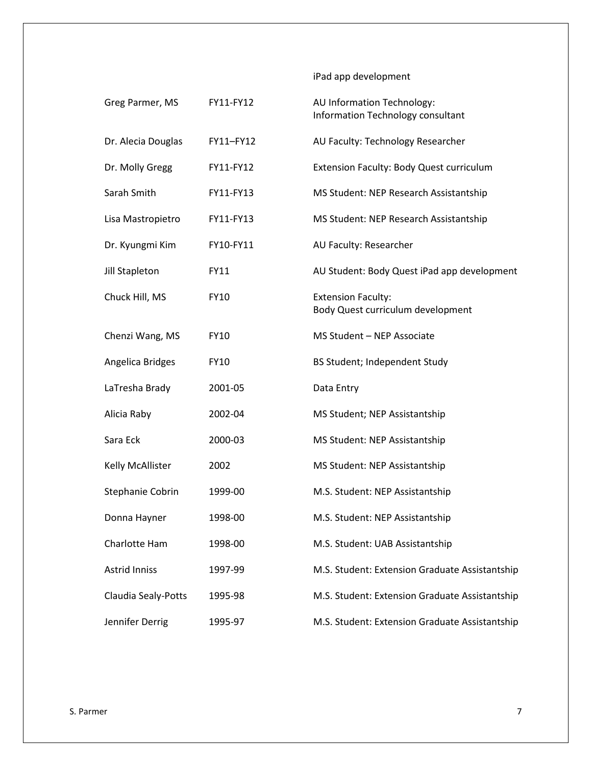iPad app development

| Greg Parmer, MS      | FY11-FY12 | AU Information Technology:<br>Information Technology consultant |
|----------------------|-----------|-----------------------------------------------------------------|
| Dr. Alecia Douglas   | FY11-FY12 | AU Faculty: Technology Researcher                               |
| Dr. Molly Gregg      | FY11-FY12 | Extension Faculty: Body Quest curriculum                        |
| Sarah Smith          | FY11-FY13 | MS Student: NEP Research Assistantship                          |
| Lisa Mastropietro    | FY11-FY13 | MS Student: NEP Research Assistantship                          |
| Dr. Kyungmi Kim      | FY10-FY11 | AU Faculty: Researcher                                          |
| Jill Stapleton       | FY11      | AU Student: Body Quest iPad app development                     |
| Chuck Hill, MS       | FY10      | <b>Extension Faculty:</b><br>Body Quest curriculum development  |
| Chenzi Wang, MS      | FY10      | MS Student - NEP Associate                                      |
| Angelica Bridges     | FY10      | BS Student; Independent Study                                   |
| LaTresha Brady       | 2001-05   | Data Entry                                                      |
| Alicia Raby          | 2002-04   | MS Student; NEP Assistantship                                   |
| Sara Eck             | 2000-03   | MS Student: NEP Assistantship                                   |
| Kelly McAllister     | 2002      | MS Student: NEP Assistantship                                   |
| Stephanie Cobrin     | 1999-00   | M.S. Student: NEP Assistantship                                 |
| Donna Hayner         | 1998-00   | M.S. Student: NEP Assistantship                                 |
| Charlotte Ham        | 1998-00   | M.S. Student: UAB Assistantship                                 |
| <b>Astrid Inniss</b> | 1997-99   | M.S. Student: Extension Graduate Assistantship                  |
| Claudia Sealy-Potts  | 1995-98   | M.S. Student: Extension Graduate Assistantship                  |
| Jennifer Derrig      | 1995-97   | M.S. Student: Extension Graduate Assistantship                  |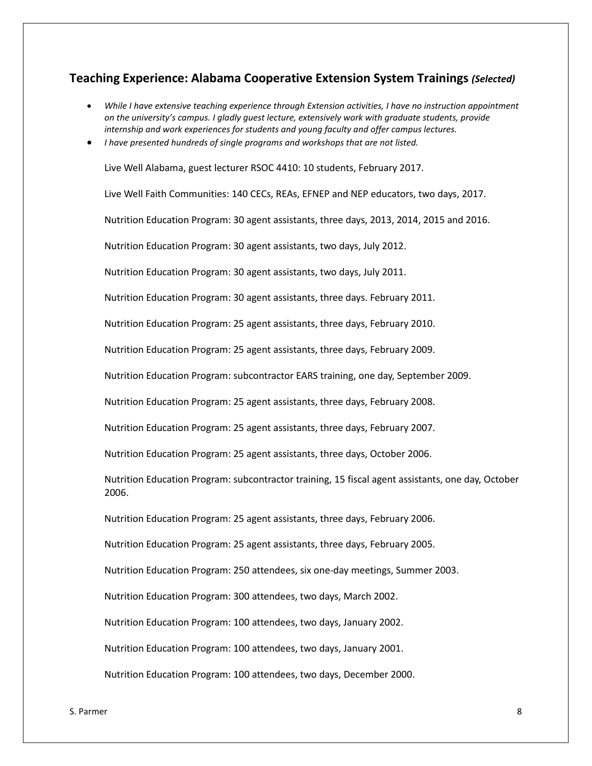# **Teaching Experience: Alabama Cooperative Extension System Trainings** *(Selected)*

- *While I have extensive teaching experience through Extension activities, I have no instruction appointment on the university's campus. I gladly guest lecture, extensively work with graduate students, provide internship and work experiences for students and young faculty and offer campus lectures.*
- *I have presented hundreds of single programs and workshops that are not listed.*

Live Well Alabama, guest lecturer RSOC 4410: 10 students, February 2017.

Live Well Faith Communities: 140 CECs, REAs, EFNEP and NEP educators, two days, 2017.

Nutrition Education Program: 30 agent assistants, three days, 2013, 2014, 2015 and 2016.

Nutrition Education Program: 30 agent assistants, two days, July 2012.

Nutrition Education Program: 30 agent assistants, two days, July 2011.

Nutrition Education Program: 30 agent assistants, three days. February 2011.

Nutrition Education Program: 25 agent assistants, three days, February 2010.

Nutrition Education Program: 25 agent assistants, three days, February 2009.

Nutrition Education Program: subcontractor EARS training, one day, September 2009.

Nutrition Education Program: 25 agent assistants, three days, February 2008.

Nutrition Education Program: 25 agent assistants, three days, February 2007.

Nutrition Education Program: 25 agent assistants, three days, October 2006.

Nutrition Education Program: subcontractor training, 15 fiscal agent assistants, one day, October 2006.

Nutrition Education Program: 25 agent assistants, three days, February 2006.

Nutrition Education Program: 25 agent assistants, three days, February 2005.

Nutrition Education Program: 250 attendees, six one-day meetings, Summer 2003.

Nutrition Education Program: 300 attendees, two days, March 2002.

Nutrition Education Program: 100 attendees, two days, January 2002.

Nutrition Education Program: 100 attendees, two days, January 2001.

Nutrition Education Program: 100 attendees, two days, December 2000.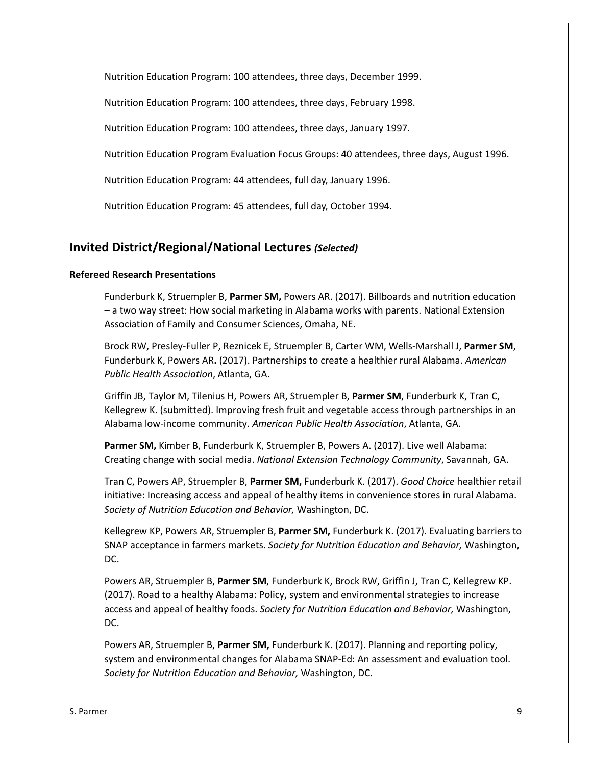Nutrition Education Program: 100 attendees, three days, December 1999.

Nutrition Education Program: 100 attendees, three days, February 1998.

Nutrition Education Program: 100 attendees, three days, January 1997.

Nutrition Education Program Evaluation Focus Groups: 40 attendees, three days, August 1996.

Nutrition Education Program: 44 attendees, full day, January 1996.

Nutrition Education Program: 45 attendees, full day, October 1994.

#### **Invited District/Regional/National Lectures** *(Selected)*

#### **Refereed Research Presentations**

Funderburk K, Struempler B, **Parmer SM,** Powers AR. (2017). Billboards and nutrition education – a two way street: How social marketing in Alabama works with parents. National Extension Association of Family and Consumer Sciences, Omaha, NE.

Brock RW, Presley-Fuller P, Reznicek E, Struempler B, Carter WM, Wells-Marshall J, **Parmer SM**, Funderburk K, Powers AR**.** (2017). Partnerships to create a healthier rural Alabama. *American Public Health Association*, Atlanta, GA.

Griffin JB, Taylor M, Tilenius H, Powers AR, Struempler B, **Parmer SM**, Funderburk K, Tran C, Kellegrew K. (submitted). Improving fresh fruit and vegetable access through partnerships in an Alabama low-income community. *American Public Health Association*, Atlanta, GA.

**Parmer SM,** Kimber B, Funderburk K, Struempler B, Powers A. (2017). Live well Alabama: Creating change with social media. *National Extension Technology Community*, Savannah, GA.

Tran C, Powers AP, Struempler B, **Parmer SM,** Funderburk K. (2017). *Good Choice* healthier retail initiative: Increasing access and appeal of healthy items in convenience stores in rural Alabama. *Society of Nutrition Education and Behavior,* Washington, DC.

Kellegrew KP, Powers AR, Struempler B, **Parmer SM,** Funderburk K. (2017). Evaluating barriers to SNAP acceptance in farmers markets. *Society for Nutrition Education and Behavior,* Washington, DC.

Powers AR, Struempler B, **Parmer SM**, Funderburk K, Brock RW, Griffin J, Tran C, Kellegrew KP. (2017). Road to a healthy Alabama: Policy, system and environmental strategies to increase access and appeal of healthy foods. *Society for Nutrition Education and Behavior,* Washington, DC.

Powers AR, Struempler B, **Parmer SM,** Funderburk K. (2017). Planning and reporting policy, system and environmental changes for Alabama SNAP-Ed: An assessment and evaluation tool. *Society for Nutrition Education and Behavior,* Washington, DC.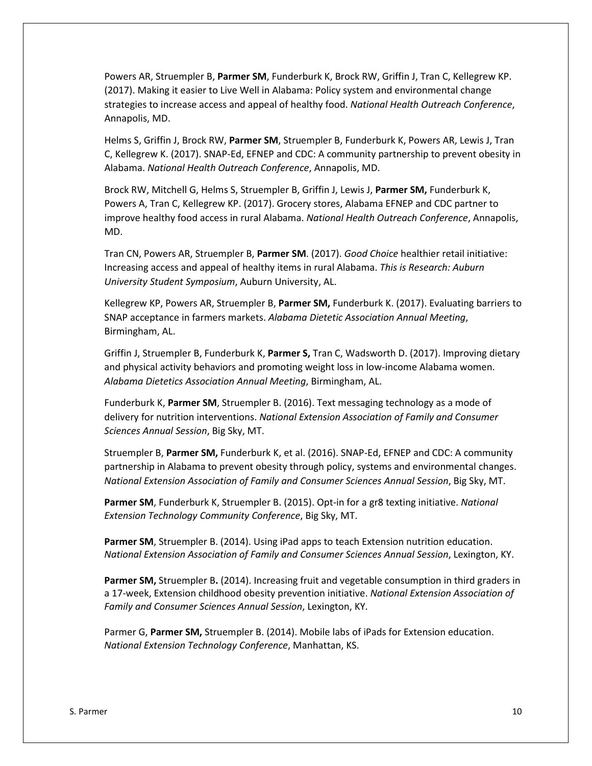Powers AR, Struempler B, **Parmer SM**, Funderburk K, Brock RW, Griffin J, Tran C, Kellegrew KP. (2017). Making it easier to Live Well in Alabama: Policy system and environmental change strategies to increase access and appeal of healthy food. *National Health Outreach Conference*, Annapolis, MD.

Helms S, Griffin J, Brock RW, **Parmer SM**, Struempler B, Funderburk K, Powers AR, Lewis J, Tran C, Kellegrew K. (2017). SNAP-Ed, EFNEP and CDC: A community partnership to prevent obesity in Alabama. *National Health Outreach Conference*, Annapolis, MD.

Brock RW, Mitchell G, Helms S, Struempler B, Griffin J, Lewis J, **Parmer SM,** Funderburk K, Powers A, Tran C, Kellegrew KP. (2017). Grocery stores, Alabama EFNEP and CDC partner to improve healthy food access in rural Alabama. *National Health Outreach Conference*, Annapolis, MD.

Tran CN, Powers AR, Struempler B, **Parmer SM**. (2017). *Good Choice* healthier retail initiative: Increasing access and appeal of healthy items in rural Alabama. *This is Research: Auburn University Student Symposium*, Auburn University, AL.

Kellegrew KP, Powers AR, Struempler B, **Parmer SM,** Funderburk K. (2017). Evaluating barriers to SNAP acceptance in farmers markets. *Alabama Dietetic Association Annual Meeting*, Birmingham, AL.

Griffin J, Struempler B, Funderburk K, **Parmer S,** Tran C, Wadsworth D. (2017). Improving dietary and physical activity behaviors and promoting weight loss in low-income Alabama women. *Alabama Dietetics Association Annual Meeting*, Birmingham, AL.

Funderburk K, **Parmer SM**, Struempler B. (2016). Text messaging technology as a mode of delivery for nutrition interventions. *National Extension Association of Family and Consumer Sciences Annual Session*, Big Sky, MT.

Struempler B, **Parmer SM,** Funderburk K, et al. (2016). SNAP-Ed, EFNEP and CDC: A community partnership in Alabama to prevent obesity through policy, systems and environmental changes. *National Extension Association of Family and Consumer Sciences Annual Session*, Big Sky, MT.

**Parmer SM**, Funderburk K, Struempler B. (2015). Opt-in for a gr8 texting initiative. *National Extension Technology Community Conference*, Big Sky, MT.

**Parmer SM**, Struempler B. (2014). Using iPad apps to teach Extension nutrition education. *National Extension Association of Family and Consumer Sciences Annual Session*, Lexington, KY.

**Parmer SM,** Struempler B**.** (2014). Increasing fruit and vegetable consumption in third graders in a 17-week, Extension childhood obesity prevention initiative. *National Extension Association of Family and Consumer Sciences Annual Session*, Lexington, KY.

Parmer G, **Parmer SM,** Struempler B. (2014). Mobile labs of iPads for Extension education. *National Extension Technology Conference*, Manhattan, KS.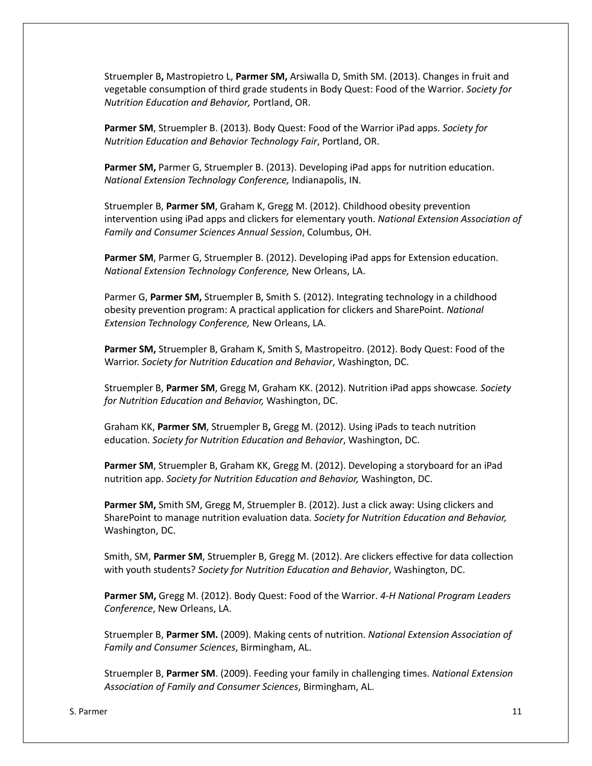Struempler B**,** Mastropietro L, **Parmer SM,** Arsiwalla D, Smith SM. (2013). Changes in fruit and vegetable consumption of third grade students in Body Quest: Food of the Warrior. *Society for Nutrition Education and Behavior,* Portland, OR.

**Parmer SM**, Struempler B. (2013). Body Quest: Food of the Warrior iPad apps. *Society for Nutrition Education and Behavior Technology Fair*, Portland, OR.

**Parmer SM,** Parmer G, Struempler B. (2013). Developing iPad apps for nutrition education. *National Extension Technology Conference,* Indianapolis, IN.

Struempler B, **Parmer SM**, Graham K, Gregg M. (2012). Childhood obesity prevention intervention using iPad apps and clickers for elementary youth. *National Extension Association of Family and Consumer Sciences Annual Session*, Columbus, OH.

**Parmer SM**, Parmer G, Struempler B. (2012). Developing iPad apps for Extension education. *National Extension Technology Conference,* New Orleans, LA.

Parmer G, **Parmer SM,** Struempler B, Smith S. (2012). Integrating technology in a childhood obesity prevention program: A practical application for clickers and SharePoint. *National Extension Technology Conference,* New Orleans, LA.

**Parmer SM,** Struempler B, Graham K, Smith S, Mastropeitro. (2012). Body Quest: Food of the Warrior. *Society for Nutrition Education and Behavior*, Washington, DC.

Struempler B, **Parmer SM**, Gregg M, Graham KK. (2012). Nutrition iPad apps showcase*. Society for Nutrition Education and Behavior,* Washington, DC.

Graham KK, **Parmer SM**, Struempler B**,** Gregg M. (2012). Using iPads to teach nutrition education. *Society for Nutrition Education and Behavior*, Washington, DC.

**Parmer SM**, Struempler B, Graham KK, Gregg M. (2012). Developing a storyboard for an iPad nutrition app. *Society for Nutrition Education and Behavior,* Washington, DC.

**Parmer SM,** Smith SM, Gregg M, Struempler B. (2012). Just a click away: Using clickers and SharePoint to manage nutrition evaluation data*. Society for Nutrition Education and Behavior,* Washington, DC.

Smith, SM, **Parmer SM**, Struempler B, Gregg M. (2012). Are clickers effective for data collection with youth students? *Society for Nutrition Education and Behavior*, Washington, DC.

**Parmer SM,** Gregg M. (2012). Body Quest: Food of the Warrior. *4-H National Program Leaders Conference*, New Orleans, LA.

Struempler B, **Parmer SM.** (2009). Making cents of nutrition. *National Extension Association of Family and Consumer Sciences*, Birmingham, AL.

Struempler B, **Parmer SM**. (2009). Feeding your family in challenging times. *National Extension Association of Family and Consumer Sciences*, Birmingham, AL.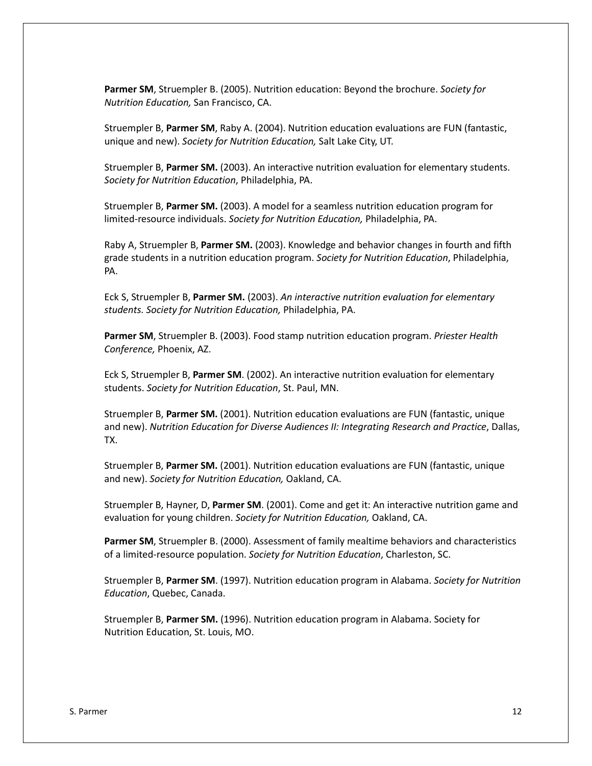**Parmer SM**, Struempler B. (2005). Nutrition education: Beyond the brochure. *Society for Nutrition Education,* San Francisco, CA.

Struempler B, **Parmer SM**, Raby A. (2004). Nutrition education evaluations are FUN (fantastic, unique and new). *Society for Nutrition Education,* Salt Lake City, UT.

Struempler B, **Parmer SM.** (2003). An interactive nutrition evaluation for elementary students. *Society for Nutrition Education*, Philadelphia, PA.

Struempler B, **Parmer SM.** (2003). A model for a seamless nutrition education program for limited-resource individuals. *Society for Nutrition Education,* Philadelphia, PA.

Raby A, Struempler B, **Parmer SM.** (2003). Knowledge and behavior changes in fourth and fifth grade students in a nutrition education program. *Society for Nutrition Education*, Philadelphia, PA.

Eck S, Struempler B, **Parmer SM.** (2003). *An interactive nutrition evaluation for elementary students. Society for Nutrition Education,* Philadelphia, PA.

**Parmer SM**, Struempler B. (2003). Food stamp nutrition education program. *Priester Health Conference,* Phoenix, AZ.

Eck S, Struempler B, **Parmer SM**. (2002). An interactive nutrition evaluation for elementary students. *Society for Nutrition Education*, St. Paul, MN.

Struempler B, **Parmer SM.** (2001). Nutrition education evaluations are FUN (fantastic, unique and new). *Nutrition Education for Diverse Audiences II: Integrating Research and Practice*, Dallas, TX.

Struempler B, **Parmer SM.** (2001). Nutrition education evaluations are FUN (fantastic, unique and new). *Society for Nutrition Education,* Oakland, CA.

Struempler B, Hayner, D, **Parmer SM**. (2001). Come and get it: An interactive nutrition game and evaluation for young children. *Society for Nutrition Education,* Oakland, CA.

**Parmer SM**, Struempler B. (2000). Assessment of family mealtime behaviors and characteristics of a limited-resource population. *Society for Nutrition Education*, Charleston, SC.

Struempler B, **Parmer SM**. (1997). Nutrition education program in Alabama. *Society for Nutrition Education*, Quebec, Canada.

Struempler B, **Parmer SM.** (1996). Nutrition education program in Alabama. Society for Nutrition Education, St. Louis, MO.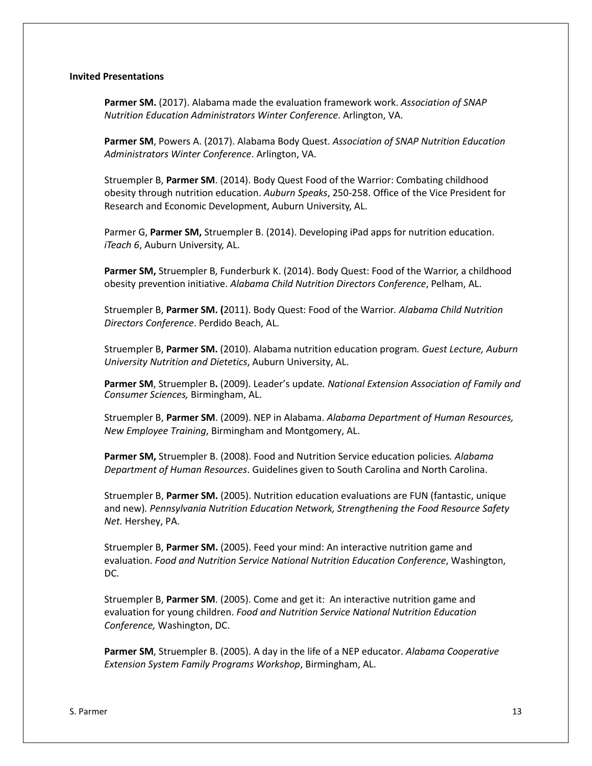#### **Invited Presentations**

**Parmer SM.** (2017). Alabama made the evaluation framework work. *Association of SNAP Nutrition Education Administrators Winter Conference*. Arlington, VA.

**Parmer SM**, Powers A. (2017). Alabama Body Quest. *Association of SNAP Nutrition Education Administrators Winter Conference*. Arlington, VA.

Struempler B, **Parmer SM**. (2014). Body Quest Food of the Warrior: Combating childhood obesity through nutrition education. *Auburn Speaks*, 250-258. Office of the Vice President for Research and Economic Development, Auburn University, AL.

Parmer G, **Parmer SM,** Struempler B. (2014). Developing iPad apps for nutrition education. *iTeach 6*, Auburn University, AL.

**Parmer SM,** Struempler B, Funderburk K. (2014). Body Quest: Food of the Warrior, a childhood obesity prevention initiative. *Alabama Child Nutrition Directors Conference*, Pelham, AL.

Struempler B, **Parmer SM. (**2011). Body Quest: Food of the Warrior*. Alabama Child Nutrition Directors Conference*. Perdido Beach, AL.

Struempler B, **Parmer SM.** (2010). Alabama nutrition education program*. Guest Lecture, Auburn University Nutrition and Dietetics*, Auburn University, AL.

**Parmer SM**, Struempler B**.** (2009). Leader's update*. National Extension Association of Family and Consumer Sciences,* Birmingham, AL.

Struempler B, **Parmer SM**. (2009). NEP in Alabama. *Alabama Department of Human Resources, New Employee Training*, Birmingham and Montgomery, AL.

**Parmer SM,** Struempler B. (2008). Food and Nutrition Service education policies*. Alabama Department of Human Resources*. Guidelines given to South Carolina and North Carolina.

Struempler B, **Parmer SM.** (2005). Nutrition education evaluations are FUN (fantastic, unique and new)*. Pennsylvania Nutrition Education Network, Strengthening the Food Resource Safety Net.* Hershey, PA.

Struempler B, **Parmer SM.** (2005). Feed your mind: An interactive nutrition game and evaluation. *Food and Nutrition Service National Nutrition Education Conference*, Washington, DC.

Struempler B, **Parmer SM**. (2005). Come and get it: An interactive nutrition game and evaluation for young children. *Food and Nutrition Service National Nutrition Education Conference,* Washington, DC.

**Parmer SM**, Struempler B. (2005). A day in the life of a NEP educator. *Alabama Cooperative Extension System Family Programs Workshop*, Birmingham, AL.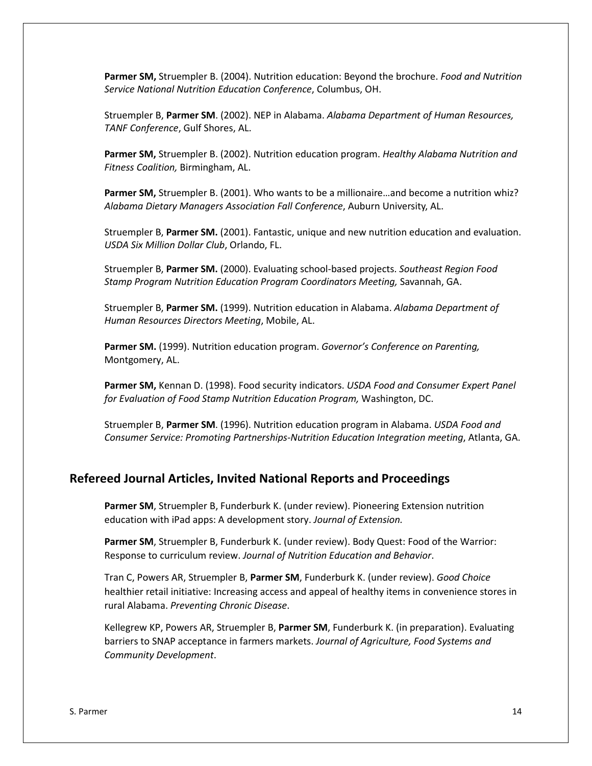**Parmer SM,** Struempler B. (2004). Nutrition education: Beyond the brochure. *Food and Nutrition Service National Nutrition Education Conference*, Columbus, OH.

Struempler B, **Parmer SM**. (2002). NEP in Alabama. *Alabama Department of Human Resources, TANF Conference*, Gulf Shores, AL.

**Parmer SM,** Struempler B. (2002). Nutrition education program. *Healthy Alabama Nutrition and Fitness Coalition,* Birmingham, AL.

**Parmer SM,** Struempler B. (2001). Who wants to be a millionaire…and become a nutrition whiz? *Alabama Dietary Managers Association Fall Conference*, Auburn University, AL.

Struempler B, **Parmer SM.** (2001). Fantastic, unique and new nutrition education and evaluation. *USDA Six Million Dollar Club*, Orlando, FL.

Struempler B, **Parmer SM.** (2000). Evaluating school-based projects. *Southeast Region Food Stamp Program Nutrition Education Program Coordinators Meeting,* Savannah, GA.

Struempler B, **Parmer SM.** (1999). Nutrition education in Alabama. *Alabama Department of Human Resources Directors Meeting*, Mobile, AL.

**Parmer SM.** (1999). Nutrition education program. *Governor's Conference on Parenting,*  Montgomery, AL.

**Parmer SM,** Kennan D. (1998). Food security indicators. *USDA Food and Consumer Expert Panel for Evaluation of Food Stamp Nutrition Education Program,* Washington, DC.

Struempler B, **Parmer SM**. (1996). Nutrition education program in Alabama. *USDA Food and Consumer Service: Promoting Partnerships-Nutrition Education Integration meeting*, Atlanta, GA.

### **Refereed Journal Articles, Invited National Reports and Proceedings**

**Parmer SM**, Struempler B, Funderburk K. (under review). Pioneering Extension nutrition education with iPad apps: A development story. *Journal of Extension.*

**Parmer SM**, Struempler B, Funderburk K. (under review). Body Quest: Food of the Warrior: Response to curriculum review. *Journal of Nutrition Education and Behavior*.

Tran C, Powers AR, Struempler B, **Parmer SM**, Funderburk K. (under review). *Good Choice* healthier retail initiative: Increasing access and appeal of healthy items in convenience stores in rural Alabama. *Preventing Chronic Disease*.

Kellegrew KP, Powers AR, Struempler B, **Parmer SM**, Funderburk K. (in preparation). Evaluating barriers to SNAP acceptance in farmers markets. *Journal of Agriculture, Food Systems and Community Development*.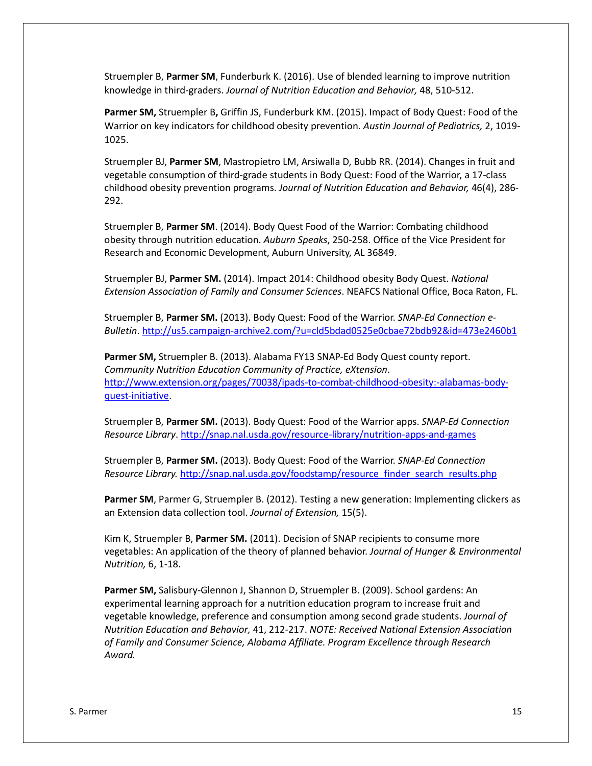Struempler B, **Parmer SM**, Funderburk K. (2016). Use of blended learning to improve nutrition knowledge in third-graders. *Journal of Nutrition Education and Behavior,* 48, 510-512.

**Parmer SM,** Struempler B**,** Griffin JS, Funderburk KM. (2015). Impact of Body Quest: Food of the Warrior on key indicators for childhood obesity prevention. *Austin Journal of Pediatrics,* 2, 1019- 1025.

Struempler BJ, **Parmer SM**, Mastropietro LM, Arsiwalla D, Bubb RR. (2014). Changes in fruit and vegetable consumption of third-grade students in Body Quest: Food of the Warrior, a 17-class childhood obesity prevention programs. *Journal of Nutrition Education and Behavior,* 46(4), 286- 292.

Struempler B, **Parmer SM**. (2014). Body Quest Food of the Warrior: Combating childhood obesity through nutrition education. *Auburn Speaks*, 250-258. Office of the Vice President for Research and Economic Development, Auburn University, AL 36849.

Struempler BJ, **Parmer SM.** (2014). Impact 2014: Childhood obesity Body Quest. *National Extension Association of Family and Consumer Sciences*. NEAFCS National Office, Boca Raton, FL.

Struempler B, **Parmer SM.** (2013). Body Quest: Food of the Warrior. *SNAP-Ed Connection e-Bulletin*.<http://us5.campaign-archive2.com/?u=cld5bdad0525e0cbae72bdb92&id=473e2460b1>

**Parmer SM,** Struempler B. (2013). Alabama FY13 SNAP-Ed Body Quest county report. *Community Nutrition Education Community of Practice, eXtension*. [http://www.extension.org/pages/70038/ipads-to-combat-childhood-obesity:-alabamas-body](http://www.extension.org/pages/70038/ipads-to-combat-childhood-obesity:-alabamas-body-quest-initiative)[quest-initiative.](http://www.extension.org/pages/70038/ipads-to-combat-childhood-obesity:-alabamas-body-quest-initiative)

Struempler B, **Parmer SM.** (2013). Body Quest: Food of the Warrior apps. *SNAP-Ed Connection Resource Library*.<http://snap.nal.usda.gov/resource-library/nutrition-apps-and-games>

Struempler B, **Parmer SM.** (2013). Body Quest: Food of the Warrior. *SNAP-Ed Connection Resource Library.* [http://snap.nal.usda.gov/foodstamp/resource\\_finder\\_search\\_results.php](http://snap.nal.usda.gov/foodstamp/resource_finder_search_results.php)

**Parmer SM**, Parmer G, Struempler B. (2012). Testing a new generation: Implementing clickers as an Extension data collection tool. *Journal of Extension,* 15(5).

Kim K, Struempler B, **Parmer SM.** (2011). Decision of SNAP recipients to consume more vegetables: An application of the theory of planned behavior. *Journal of Hunger & Environmental Nutrition,* 6, 1-18.

**Parmer SM,** Salisbury-Glennon J, Shannon D, Struempler B. (2009). School gardens: An experimental learning approach for a nutrition education program to increase fruit and vegetable knowledge, preference and consumption among second grade students. *Journal of Nutrition Education and Behavior,* 41, 212-217. *NOTE: Received National Extension Association of Family and Consumer Science, Alabama Affiliate. Program Excellence through Research Award.*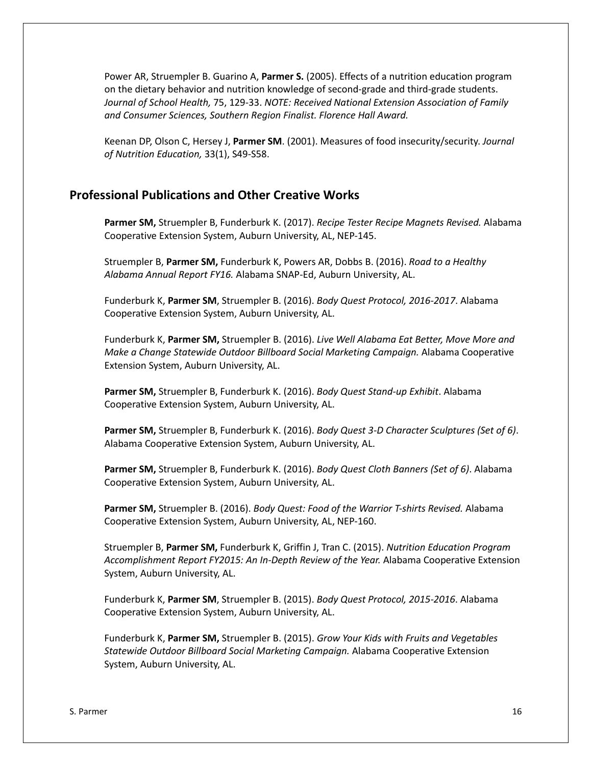Power AR, Struempler B. Guarino A, **Parmer S.** (2005). Effects of a nutrition education program on the dietary behavior and nutrition knowledge of second-grade and third-grade students. *Journal of School Health,* 75, 129-33. *NOTE: Received National Extension Association of Family and Consumer Sciences, Southern Region Finalist. Florence Hall Award.*

Keenan DP, Olson C, Hersey J, **Parmer SM**. (2001). Measures of food insecurity/security. *Journal of Nutrition Education,* 33(1), S49-S58.

### **Professional Publications and Other Creative Works**

**Parmer SM,** Struempler B, Funderburk K. (2017). *Recipe Tester Recipe Magnets Revised.* Alabama Cooperative Extension System, Auburn University, AL, NEP-145.

Struempler B, **Parmer SM,** Funderburk K, Powers AR, Dobbs B. (2016). *Road to a Healthy Alabama Annual Report FY16.* Alabama SNAP-Ed, Auburn University, AL.

Funderburk K, **Parmer SM**, Struempler B. (2016). *Body Quest Protocol, 2016-2017*. Alabama Cooperative Extension System, Auburn University, AL.

Funderburk K, **Parmer SM,** Struempler B. (2016). *Live Well Alabama Eat Better, Move More and Make a Change Statewide Outdoor Billboard Social Marketing Campaign.* Alabama Cooperative Extension System, Auburn University, AL.

**Parmer SM,** Struempler B, Funderburk K. (2016). *Body Quest Stand-up Exhibit*. Alabama Cooperative Extension System, Auburn University, AL.

**Parmer SM,** Struempler B, Funderburk K. (2016). *Body Quest 3-D Character Sculptures (Set of 6)*. Alabama Cooperative Extension System, Auburn University, AL.

**Parmer SM,** Struempler B, Funderburk K. (2016). *Body Quest Cloth Banners (Set of 6)*. Alabama Cooperative Extension System, Auburn University, AL.

**Parmer SM,** Struempler B. (2016). *Body Quest: Food of the Warrior T-shirts Revised.* Alabama Cooperative Extension System, Auburn University, AL, NEP-160.

Struempler B, **Parmer SM,** Funderburk K, Griffin J, Tran C. (2015). *Nutrition Education Program Accomplishment Report FY2015: An In-Depth Review of the Year.* Alabama Cooperative Extension System, Auburn University, AL.

Funderburk K, **Parmer SM**, Struempler B. (2015). *Body Quest Protocol, 2015-2016*. Alabama Cooperative Extension System, Auburn University, AL.

Funderburk K, **Parmer SM,** Struempler B. (2015). *Grow Your Kids with Fruits and Vegetables Statewide Outdoor Billboard Social Marketing Campaign.* Alabama Cooperative Extension System, Auburn University, AL.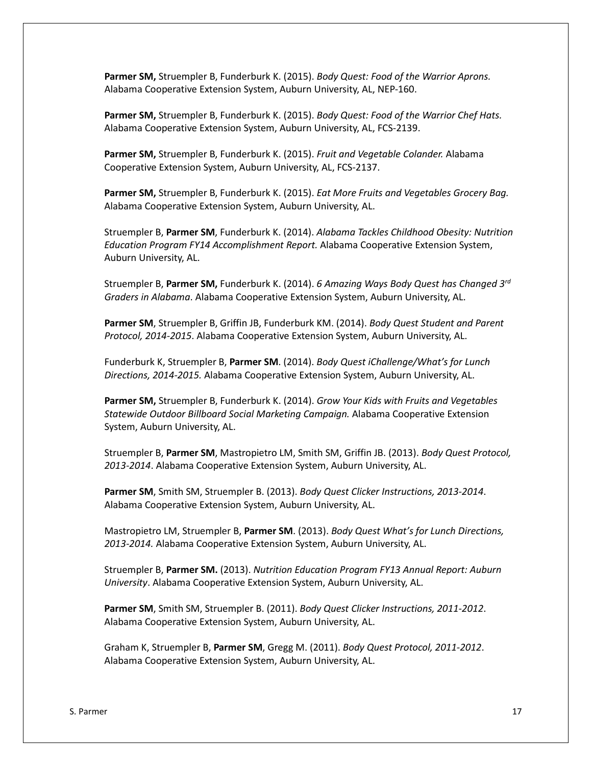**Parmer SM,** Struempler B, Funderburk K. (2015). *Body Quest: Food of the Warrior Aprons.* Alabama Cooperative Extension System, Auburn University, AL, NEP-160.

**Parmer SM,** Struempler B, Funderburk K. (2015). *Body Quest: Food of the Warrior Chef Hats.* Alabama Cooperative Extension System, Auburn University, AL, FCS-2139.

**Parmer SM,** Struempler B, Funderburk K. (2015). *Fruit and Vegetable Colander.* Alabama Cooperative Extension System, Auburn University, AL, FCS-2137.

**Parmer SM,** Struempler B, Funderburk K. (2015). *Eat More Fruits and Vegetables Grocery Bag.* Alabama Cooperative Extension System, Auburn University, AL.

Struempler B, **Parmer SM**, Funderburk K. (2014). *Alabama Tackles Childhood Obesity: Nutrition Education Program FY14 Accomplishment Report.* Alabama Cooperative Extension System, Auburn University, AL.

Struempler B, **Parmer SM,** Funderburk K. (2014). *6 Amazing Ways Body Quest has Changed 3rd Graders in Alabama*. Alabama Cooperative Extension System, Auburn University, AL.

**Parmer SM**, Struempler B, Griffin JB, Funderburk KM. (2014). *Body Quest Student and Parent Protocol, 2014-2015*. Alabama Cooperative Extension System, Auburn University, AL.

Funderburk K, Struempler B, **Parmer SM**. (2014). *Body Quest iChallenge/What's for Lunch Directions, 2014-2015.* Alabama Cooperative Extension System, Auburn University, AL.

**Parmer SM,** Struempler B, Funderburk K. (2014). *Grow Your Kids with Fruits and Vegetables Statewide Outdoor Billboard Social Marketing Campaign.* Alabama Cooperative Extension System, Auburn University, AL.

Struempler B, **Parmer SM**, Mastropietro LM, Smith SM, Griffin JB. (2013). *Body Quest Protocol, 2013-2014*. Alabama Cooperative Extension System, Auburn University, AL.

**Parmer SM**, Smith SM, Struempler B. (2013). *Body Quest Clicker Instructions, 2013-2014*. Alabama Cooperative Extension System, Auburn University, AL.

Mastropietro LM, Struempler B, **Parmer SM**. (2013). *Body Quest What's for Lunch Directions, 2013-2014.* Alabama Cooperative Extension System, Auburn University, AL.

Struempler B, **Parmer SM.** (2013). *Nutrition Education Program FY13 Annual Report: Auburn University*. Alabama Cooperative Extension System, Auburn University, AL.

**Parmer SM**, Smith SM, Struempler B. (2011). *Body Quest Clicker Instructions, 2011-2012*. Alabama Cooperative Extension System, Auburn University, AL.

Graham K, Struempler B, **Parmer SM**, Gregg M. (2011). *Body Quest Protocol, 2011-2012*. Alabama Cooperative Extension System, Auburn University, AL.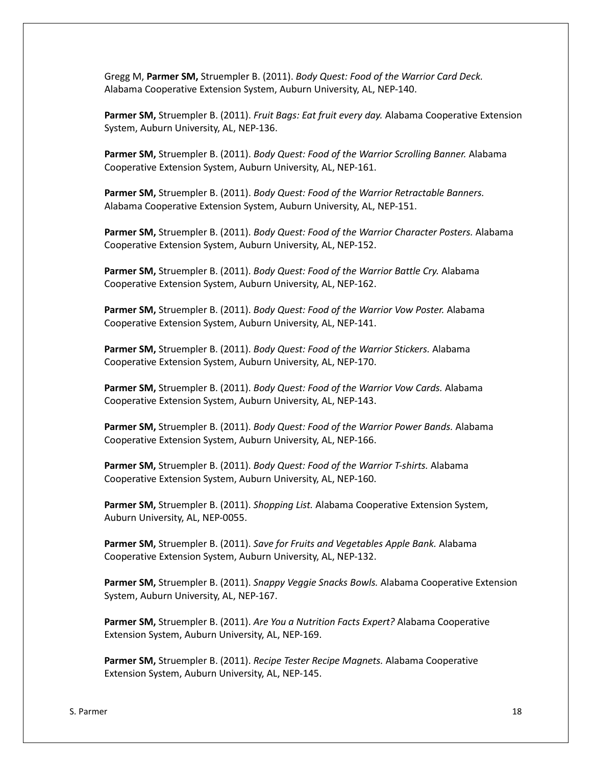Gregg M, **Parmer SM,** Struempler B. (2011). *Body Quest: Food of the Warrior Card Deck.* Alabama Cooperative Extension System, Auburn University, AL, NEP-140.

**Parmer SM,** Struempler B. (2011). *Fruit Bags: Eat fruit every day.* Alabama Cooperative Extension System, Auburn University, AL, NEP-136.

**Parmer SM,** Struempler B. (2011). *Body Quest: Food of the Warrior Scrolling Banner.* Alabama Cooperative Extension System, Auburn University, AL, NEP-161.

**Parmer SM,** Struempler B. (2011). *Body Quest: Food of the Warrior Retractable Banners.* Alabama Cooperative Extension System, Auburn University, AL, NEP-151.

**Parmer SM,** Struempler B. (2011). *Body Quest: Food of the Warrior Character Posters.* Alabama Cooperative Extension System, Auburn University, AL, NEP-152.

**Parmer SM,** Struempler B. (2011). *Body Quest: Food of the Warrior Battle Cry.* Alabama Cooperative Extension System, Auburn University, AL, NEP-162.

**Parmer SM,** Struempler B. (2011). *Body Quest: Food of the Warrior Vow Poster.* Alabama Cooperative Extension System, Auburn University, AL, NEP-141.

**Parmer SM,** Struempler B. (2011). *Body Quest: Food of the Warrior Stickers.* Alabama Cooperative Extension System, Auburn University, AL, NEP-170.

**Parmer SM,** Struempler B. (2011). *Body Quest: Food of the Warrior Vow Cards.* Alabama Cooperative Extension System, Auburn University, AL, NEP-143.

**Parmer SM,** Struempler B. (2011). *Body Quest: Food of the Warrior Power Bands.* Alabama Cooperative Extension System, Auburn University, AL, NEP-166.

**Parmer SM,** Struempler B. (2011). *Body Quest: Food of the Warrior T-shirts.* Alabama Cooperative Extension System, Auburn University, AL, NEP-160.

**Parmer SM,** Struempler B. (2011). *Shopping List.* Alabama Cooperative Extension System, Auburn University, AL, NEP-0055.

**Parmer SM,** Struempler B. (2011). *Save for Fruits and Vegetables Apple Bank.* Alabama Cooperative Extension System, Auburn University, AL, NEP-132.

**Parmer SM,** Struempler B. (2011). *Snappy Veggie Snacks Bowls.* Alabama Cooperative Extension System, Auburn University, AL, NEP-167.

**Parmer SM,** Struempler B. (2011). *Are You a Nutrition Facts Expert?* Alabama Cooperative Extension System, Auburn University, AL, NEP-169.

**Parmer SM,** Struempler B. (2011). *Recipe Tester Recipe Magnets.* Alabama Cooperative Extension System, Auburn University, AL, NEP-145.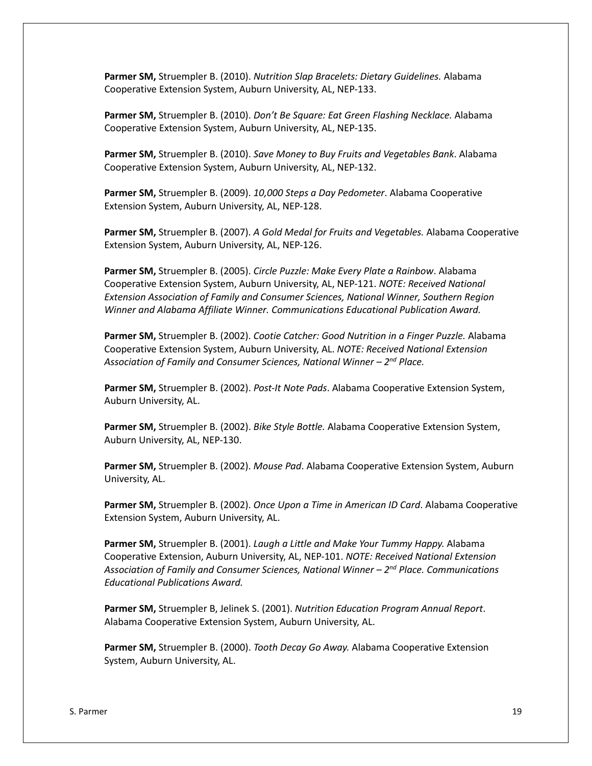**Parmer SM,** Struempler B. (2010). *Nutrition Slap Bracelets: Dietary Guidelines.* Alabama Cooperative Extension System, Auburn University, AL, NEP-133.

**Parmer SM,** Struempler B. (2010). *Don't Be Square: Eat Green Flashing Necklace.* Alabama Cooperative Extension System, Auburn University, AL, NEP-135.

**Parmer SM,** Struempler B. (2010). *Save Money to Buy Fruits and Vegetables Bank*. Alabama Cooperative Extension System, Auburn University, AL, NEP-132.

**Parmer SM,** Struempler B. (2009). *10,000 Steps a Day Pedometer*. Alabama Cooperative Extension System, Auburn University, AL, NEP-128.

**Parmer SM,** Struempler B. (2007). *A Gold Medal for Fruits and Vegetables.* Alabama Cooperative Extension System, Auburn University, AL, NEP-126.

**Parmer SM,** Struempler B. (2005). *Circle Puzzle: Make Every Plate a Rainbow*. Alabama Cooperative Extension System, Auburn University, AL, NEP-121. *NOTE: Received National Extension Association of Family and Consumer Sciences, National Winner, Southern Region Winner and Alabama Affiliate Winner. Communications Educational Publication Award.*

**Parmer SM,** Struempler B. (2002). *Cootie Catcher: Good Nutrition in a Finger Puzzle.* Alabama Cooperative Extension System, Auburn University, AL. *NOTE: Received National Extension Association of Family and Consumer Sciences, National Winner – 2nd Place.*

**Parmer SM,** Struempler B. (2002). *Post-It Note Pads*. Alabama Cooperative Extension System, Auburn University, AL.

**Parmer SM,** Struempler B. (2002). *Bike Style Bottle.* Alabama Cooperative Extension System, Auburn University, AL, NEP-130.

**Parmer SM,** Struempler B. (2002). *Mouse Pad*. Alabama Cooperative Extension System, Auburn University, AL.

**Parmer SM,** Struempler B. (2002). *Once Upon a Time in American ID Card*. Alabama Cooperative Extension System, Auburn University, AL.

**Parmer SM,** Struempler B. (2001). *Laugh a Little and Make Your Tummy Happy.* Alabama Cooperative Extension, Auburn University, AL, NEP-101. *NOTE: Received National Extension Association of Family and Consumer Sciences, National Winner – 2nd Place. Communications Educational Publications Award.*

**Parmer SM,** Struempler B, Jelinek S. (2001). *Nutrition Education Program Annual Report*. Alabama Cooperative Extension System, Auburn University, AL.

**Parmer SM,** Struempler B. (2000). *Tooth Decay Go Away.* Alabama Cooperative Extension System, Auburn University, AL.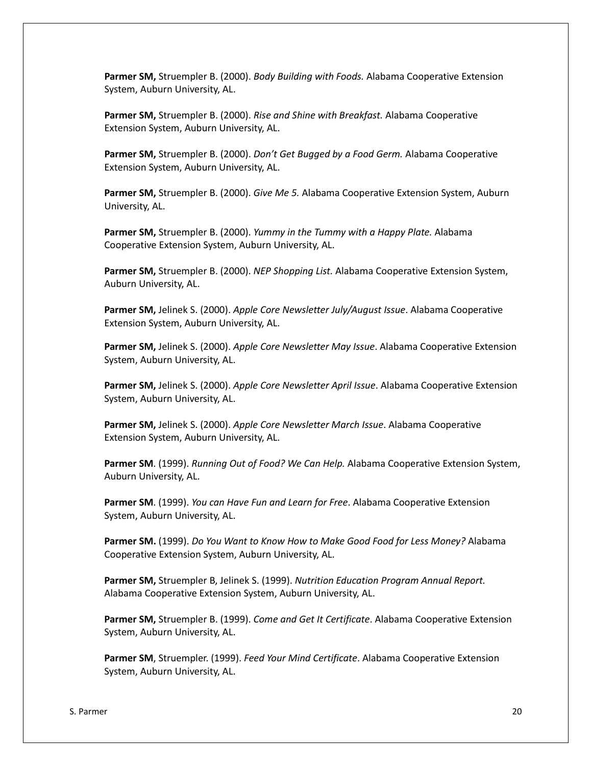**Parmer SM,** Struempler B. (2000). *Body Building with Foods.* Alabama Cooperative Extension System, Auburn University, AL.

**Parmer SM,** Struempler B. (2000). *Rise and Shine with Breakfast.* Alabama Cooperative Extension System, Auburn University, AL.

**Parmer SM,** Struempler B. (2000). *Don't Get Bugged by a Food Germ.* Alabama Cooperative Extension System, Auburn University, AL.

**Parmer SM,** Struempler B. (2000). *Give Me 5.* Alabama Cooperative Extension System, Auburn University, AL.

**Parmer SM,** Struempler B. (2000). *Yummy in the Tummy with a Happy Plate.* Alabama Cooperative Extension System, Auburn University, AL.

**Parmer SM,** Struempler B. (2000). *NEP Shopping List.* Alabama Cooperative Extension System, Auburn University, AL.

**Parmer SM,** Jelinek S. (2000). *Apple Core Newsletter July/August Issue*. Alabama Cooperative Extension System, Auburn University, AL.

**Parmer SM,** Jelinek S. (2000). *Apple Core Newsletter May Issue*. Alabama Cooperative Extension System, Auburn University, AL.

**Parmer SM,** Jelinek S. (2000). *Apple Core Newsletter April Issue*. Alabama Cooperative Extension System, Auburn University, AL.

**Parmer SM,** Jelinek S. (2000). *Apple Core Newsletter March Issue*. Alabama Cooperative Extension System, Auburn University, AL.

**Parmer SM**. (1999). *Running Out of Food? We Can Help.* Alabama Cooperative Extension System, Auburn University, AL.

**Parmer SM**. (1999). *You can Have Fun and Learn for Free*. Alabama Cooperative Extension System, Auburn University, AL.

**Parmer SM.** (1999). *Do You Want to Know How to Make Good Food for Less Money?* Alabama Cooperative Extension System, Auburn University, AL.

**Parmer SM,** Struempler B, Jelinek S. (1999). *Nutrition Education Program Annual Report.* Alabama Cooperative Extension System, Auburn University, AL.

**Parmer SM,** Struempler B. (1999). *Come and Get It Certificate*. Alabama Cooperative Extension System, Auburn University, AL.

**Parmer SM**, Struempler. (1999). *Feed Your Mind Certificate*. Alabama Cooperative Extension System, Auburn University, AL.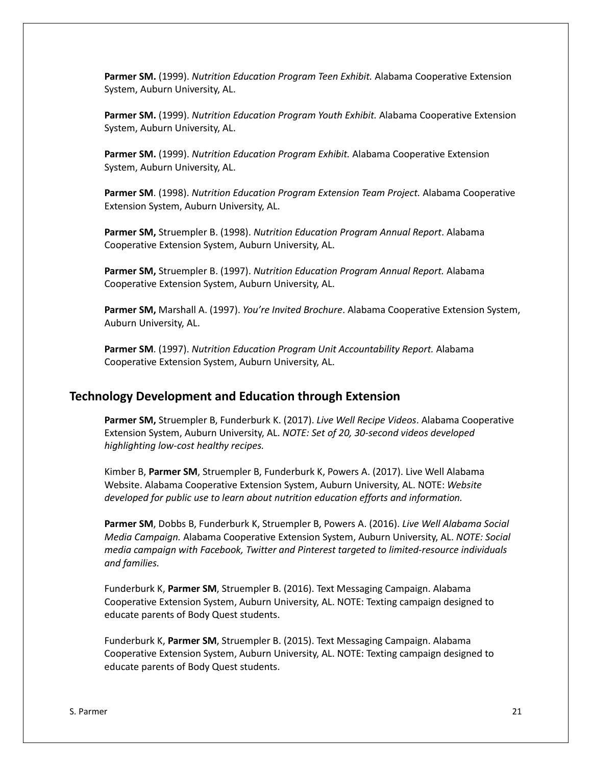**Parmer SM.** (1999). *Nutrition Education Program Teen Exhibit.* Alabama Cooperative Extension System, Auburn University, AL.

**Parmer SM.** (1999). *Nutrition Education Program Youth Exhibit.* Alabama Cooperative Extension System, Auburn University, AL.

**Parmer SM.** (1999). *Nutrition Education Program Exhibit.* Alabama Cooperative Extension System, Auburn University, AL.

**Parmer SM**. (1998). *Nutrition Education Program Extension Team Project.* Alabama Cooperative Extension System, Auburn University, AL.

**Parmer SM,** Struempler B. (1998). *Nutrition Education Program Annual Report*. Alabama Cooperative Extension System, Auburn University, AL.

**Parmer SM,** Struempler B. (1997). *Nutrition Education Program Annual Report.* Alabama Cooperative Extension System, Auburn University, AL.

**Parmer SM,** Marshall A. (1997). *You're Invited Brochure*. Alabama Cooperative Extension System, Auburn University, AL.

**Parmer SM**. (1997). *Nutrition Education Program Unit Accountability Report.* Alabama Cooperative Extension System, Auburn University, AL.

## **Technology Development and Education through Extension**

**Parmer SM,** Struempler B, Funderburk K. (2017). *Live Well Recipe Videos*. Alabama Cooperative Extension System, Auburn University, AL. *NOTE: Set of 20, 30-second videos developed highlighting low-cost healthy recipes.*

Kimber B, **Parmer SM**, Struempler B, Funderburk K, Powers A. (2017). Live Well Alabama Website. Alabama Cooperative Extension System, Auburn University, AL. NOTE: *Website developed for public use to learn about nutrition education efforts and information.*

**Parmer SM**, Dobbs B, Funderburk K, Struempler B, Powers A. (2016). *Live Well Alabama Social Media Campaign.* Alabama Cooperative Extension System, Auburn University, AL. *NOTE: Social media campaign with Facebook, Twitter and Pinterest targeted to limited-resource individuals and families.*

Funderburk K, **Parmer SM**, Struempler B. (2016). Text Messaging Campaign. Alabama Cooperative Extension System, Auburn University, AL. NOTE: Texting campaign designed to educate parents of Body Quest students.

Funderburk K, **Parmer SM**, Struempler B. (2015). Text Messaging Campaign. Alabama Cooperative Extension System, Auburn University, AL. NOTE: Texting campaign designed to educate parents of Body Quest students.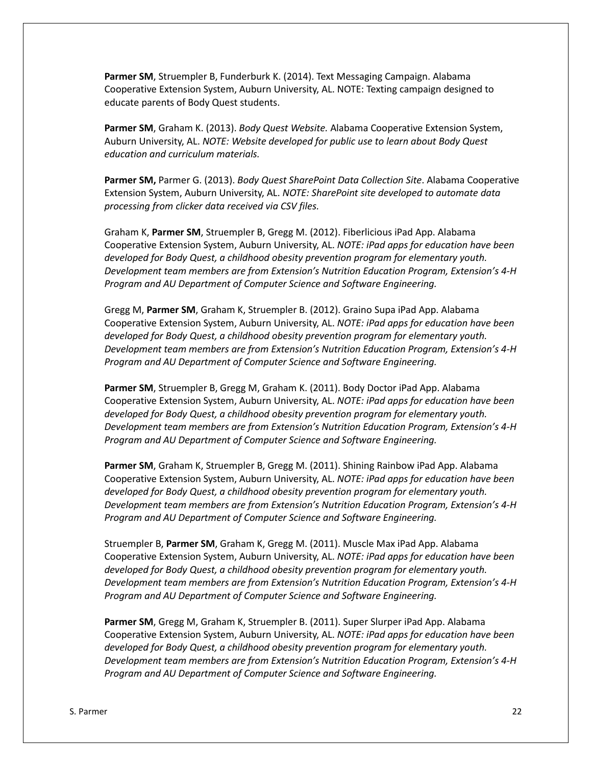**Parmer SM**, Struempler B, Funderburk K. (2014). Text Messaging Campaign. Alabama Cooperative Extension System, Auburn University, AL. NOTE: Texting campaign designed to educate parents of Body Quest students.

**Parmer SM**, Graham K. (2013). *Body Quest Website.* Alabama Cooperative Extension System, Auburn University, AL. *NOTE: Website developed for public use to learn about Body Quest education and curriculum materials.*

**Parmer SM,** Parmer G. (2013). *Body Quest SharePoint Data Collection Site*. Alabama Cooperative Extension System, Auburn University, AL. *NOTE: SharePoint site developed to automate data processing from clicker data received via CSV files.*

Graham K, **Parmer SM**, Struempler B, Gregg M. (2012). Fiberlicious iPad App. Alabama Cooperative Extension System, Auburn University, AL. *NOTE: iPad apps for education have been developed for Body Quest, a childhood obesity prevention program for elementary youth. Development team members are from Extension's Nutrition Education Program, Extension's 4-H Program and AU Department of Computer Science and Software Engineering.*

Gregg M, **Parmer SM**, Graham K, Struempler B. (2012). Graino Supa iPad App. Alabama Cooperative Extension System, Auburn University, AL. *NOTE: iPad apps for education have been developed for Body Quest, a childhood obesity prevention program for elementary youth. Development team members are from Extension's Nutrition Education Program, Extension's 4-H Program and AU Department of Computer Science and Software Engineering.*

**Parmer SM**, Struempler B, Gregg M, Graham K. (2011). Body Doctor iPad App. Alabama Cooperative Extension System, Auburn University, AL. *NOTE: iPad apps for education have been developed for Body Quest, a childhood obesity prevention program for elementary youth. Development team members are from Extension's Nutrition Education Program, Extension's 4-H Program and AU Department of Computer Science and Software Engineering.* 

**Parmer SM**, Graham K, Struempler B, Gregg M. (2011). Shining Rainbow iPad App. Alabama Cooperative Extension System, Auburn University, AL. *NOTE: iPad apps for education have been developed for Body Quest, a childhood obesity prevention program for elementary youth. Development team members are from Extension's Nutrition Education Program, Extension's 4-H Program and AU Department of Computer Science and Software Engineering.*

Struempler B, **Parmer SM**, Graham K, Gregg M. (2011). Muscle Max iPad App. Alabama Cooperative Extension System, Auburn University, AL. *NOTE: iPad apps for education have been developed for Body Quest, a childhood obesity prevention program for elementary youth. Development team members are from Extension's Nutrition Education Program, Extension's 4-H Program and AU Department of Computer Science and Software Engineering.* 

**Parmer SM**, Gregg M, Graham K, Struempler B. (2011). Super Slurper iPad App. Alabama Cooperative Extension System, Auburn University, AL. *NOTE: iPad apps for education have been developed for Body Quest, a childhood obesity prevention program for elementary youth. Development team members are from Extension's Nutrition Education Program, Extension's 4-H Program and AU Department of Computer Science and Software Engineering.*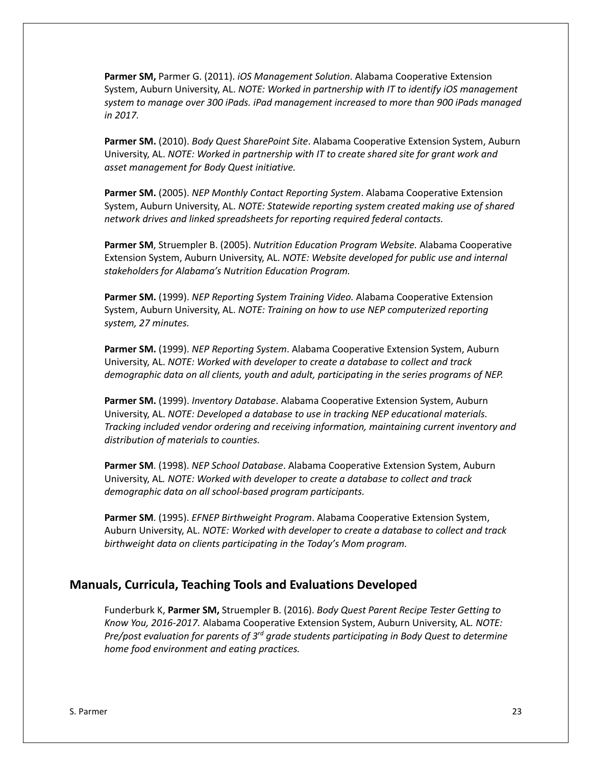**Parmer SM,** Parmer G. (2011). *iOS Management Solution*. Alabama Cooperative Extension System, Auburn University, AL. *NOTE: Worked in partnership with IT to identify iOS management system to manage over 300 iPads. iPad management increased to more than 900 iPads managed in 2017.*

**Parmer SM.** (2010). *Body Quest SharePoint Site*. Alabama Cooperative Extension System, Auburn University, AL. *NOTE: Worked in partnership with IT to create shared site for grant work and asset management for Body Quest initiative.*

**Parmer SM.** (2005). *NEP Monthly Contact Reporting System*. Alabama Cooperative Extension System, Auburn University, AL. *NOTE: Statewide reporting system created making use of shared network drives and linked spreadsheets for reporting required federal contacts.*

**Parmer SM**, Struempler B. (2005). *Nutrition Education Program Website.* Alabama Cooperative Extension System, Auburn University, AL. *NOTE: Website developed for public use and internal stakeholders for Alabama's Nutrition Education Program.*

**Parmer SM.** (1999). *NEP Reporting System Training Video.* Alabama Cooperative Extension System, Auburn University, AL. *NOTE: Training on how to use NEP computerized reporting system, 27 minutes.*

**Parmer SM.** (1999). *NEP Reporting System*. Alabama Cooperative Extension System, Auburn University, AL. *NOTE: Worked with developer to create a database to collect and track demographic data on all clients, youth and adult, participating in the series programs of NEP.*

**Parmer SM.** (1999). *Inventory Database*. Alabama Cooperative Extension System, Auburn University, AL. *NOTE: Developed a database to use in tracking NEP educational materials. Tracking included vendor ordering and receiving information, maintaining current inventory and distribution of materials to counties.*

**Parmer SM**. (1998). *NEP School Database*. Alabama Cooperative Extension System, Auburn University, AL*. NOTE: Worked with developer to create a database to collect and track demographic data on all school-based program participants.*

**Parmer SM**. (1995). *EFNEP Birthweight Program*. Alabama Cooperative Extension System, Auburn University, AL. *NOTE: Worked with developer to create a database to collect and track birthweight data on clients participating in the Today's Mom program.* 

### **Manuals, Curricula, Teaching Tools and Evaluations Developed**

Funderburk K, **Parmer SM,** Struempler B. (2016). *Body Quest Parent Recipe Tester Getting to Know You, 2016-2017.* Alabama Cooperative Extension System, Auburn University, AL*. NOTE: Pre/post evaluation for parents of 3rd grade students participating in Body Quest to determine home food environment and eating practices.*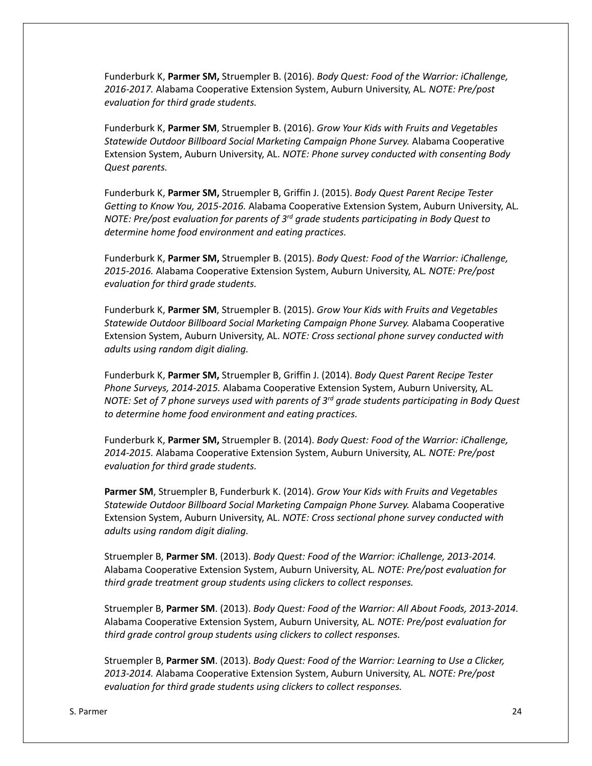Funderburk K, **Parmer SM,** Struempler B. (2016). *Body Quest: Food of the Warrior: iChallenge, 2016-2017.* Alabama Cooperative Extension System, Auburn University, AL*. NOTE: Pre/post evaluation for third grade students.*

Funderburk K, **Parmer SM**, Struempler B. (2016). *Grow Your Kids with Fruits and Vegetables Statewide Outdoor Billboard Social Marketing Campaign Phone Survey.* Alabama Cooperative Extension System, Auburn University, AL. *NOTE: Phone survey conducted with consenting Body Quest parents.*

Funderburk K, **Parmer SM,** Struempler B, Griffin J. (2015). *Body Quest Parent Recipe Tester Getting to Know You, 2015-2016.* Alabama Cooperative Extension System, Auburn University, AL*. NOTE: Pre/post evaluation for parents of 3rd grade students participating in Body Quest to determine home food environment and eating practices.*

Funderburk K, **Parmer SM,** Struempler B. (2015). *Body Quest: Food of the Warrior: iChallenge, 2015-2016.* Alabama Cooperative Extension System, Auburn University, AL*. NOTE: Pre/post evaluation for third grade students.*

Funderburk K, **Parmer SM**, Struempler B. (2015). *Grow Your Kids with Fruits and Vegetables Statewide Outdoor Billboard Social Marketing Campaign Phone Survey.* Alabama Cooperative Extension System, Auburn University, AL. *NOTE: Cross sectional phone survey conducted with adults using random digit dialing.*

Funderburk K, **Parmer SM,** Struempler B, Griffin J. (2014). *Body Quest Parent Recipe Tester Phone Surveys, 2014-2015.* Alabama Cooperative Extension System, Auburn University, AL*. NOTE: Set of 7 phone surveys used with parents of 3rd grade students participating in Body Quest to determine home food environment and eating practices.*

Funderburk K, **Parmer SM,** Struempler B. (2014). *Body Quest: Food of the Warrior: iChallenge, 2014-2015.* Alabama Cooperative Extension System, Auburn University, AL*. NOTE: Pre/post evaluation for third grade students.*

**Parmer SM**, Struempler B, Funderburk K. (2014). *Grow Your Kids with Fruits and Vegetables Statewide Outdoor Billboard Social Marketing Campaign Phone Survey.* Alabama Cooperative Extension System, Auburn University, AL. *NOTE: Cross sectional phone survey conducted with adults using random digit dialing.*

Struempler B, **Parmer SM**. (2013). *Body Quest: Food of the Warrior: iChallenge, 2013-2014.*  Alabama Cooperative Extension System, Auburn University, AL*. NOTE: Pre/post evaluation for third grade treatment group students using clickers to collect responses.*

Struempler B, **Parmer SM**. (2013). *Body Quest: Food of the Warrior: All About Foods, 2013-2014.*  Alabama Cooperative Extension System, Auburn University, AL*. NOTE: Pre/post evaluation for third grade control group students using clickers to collect responses.*

Struempler B, **Parmer SM**. (2013). *Body Quest: Food of the Warrior: Learning to Use a Clicker, 2013-2014.* Alabama Cooperative Extension System, Auburn University, AL*. NOTE: Pre/post evaluation for third grade students using clickers to collect responses.*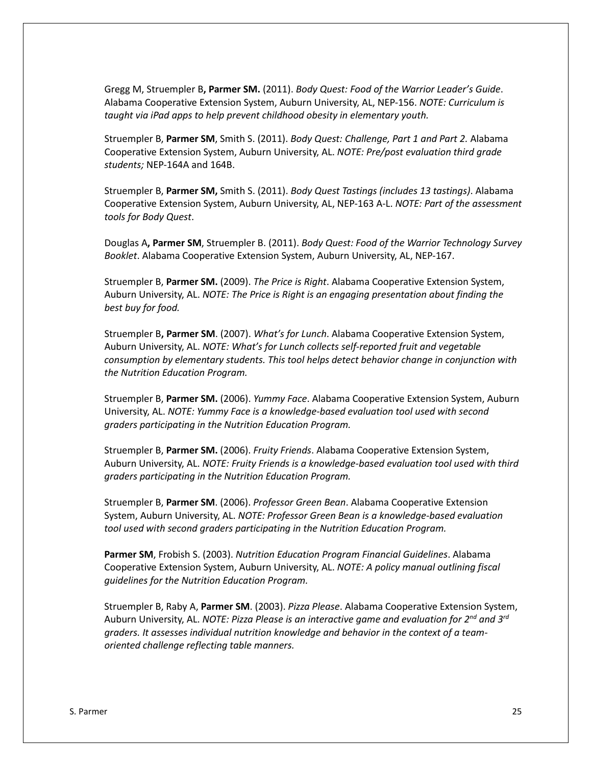Gregg M, Struempler B**, Parmer SM.** (2011). *Body Quest: Food of the Warrior Leader's Guide*. Alabama Cooperative Extension System, Auburn University, AL, NEP-156. *NOTE: Curriculum is taught via iPad apps to help prevent childhood obesity in elementary youth.*

Struempler B, **Parmer SM**, Smith S. (2011). *Body Quest: Challenge, Part 1 and Part 2.* Alabama Cooperative Extension System, Auburn University, AL. *NOTE: Pre/post evaluation third grade students;* NEP-164A and 164B.

Struempler B, **Parmer SM,** Smith S. (2011). *Body Quest Tastings (includes 13 tastings)*. Alabama Cooperative Extension System, Auburn University, AL, NEP-163 A-L. *NOTE: Part of the assessment tools for Body Quest*.

Douglas A**, Parmer SM**, Struempler B. (2011). *Body Quest: Food of the Warrior Technology Survey Booklet*. Alabama Cooperative Extension System, Auburn University, AL, NEP-167.

Struempler B, **Parmer SM.** (2009). *The Price is Right*. Alabama Cooperative Extension System, Auburn University, AL. *NOTE: The Price is Right is an engaging presentation about finding the best buy for food.* 

Struempler B**, Parmer SM**. (2007). *What's for Lunch*. Alabama Cooperative Extension System, Auburn University, AL. *NOTE: What's for Lunch collects self-reported fruit and vegetable consumption by elementary students. This tool helps detect behavior change in conjunction with the Nutrition Education Program.*

Struempler B, **Parmer SM.** (2006). *Yummy Face*. Alabama Cooperative Extension System, Auburn University, AL. *NOTE: Yummy Face is a knowledge-based evaluation tool used with second graders participating in the Nutrition Education Program.*

Struempler B, **Parmer SM.** (2006). *Fruity Friends*. Alabama Cooperative Extension System, Auburn University, AL. *NOTE: Fruity Friends is a knowledge-based evaluation tool used with third graders participating in the Nutrition Education Program.*

Struempler B, **Parmer SM**. (2006). *Professor Green Bean*. Alabama Cooperative Extension System, Auburn University, AL. *NOTE: Professor Green Bean is a knowledge-based evaluation tool used with second graders participating in the Nutrition Education Program.*

**Parmer SM**, Frobish S. (2003). *Nutrition Education Program Financial Guidelines*. Alabama Cooperative Extension System, Auburn University, AL. *NOTE: A policy manual outlining fiscal guidelines for the Nutrition Education Program.*

Struempler B, Raby A, **Parmer SM**. (2003). *Pizza Please*. Alabama Cooperative Extension System, Auburn University, AL. *NOTE: Pizza Please is an interactive game and evaluation for 2nd and 3rd graders. It assesses individual nutrition knowledge and behavior in the context of a teamoriented challenge reflecting table manners.*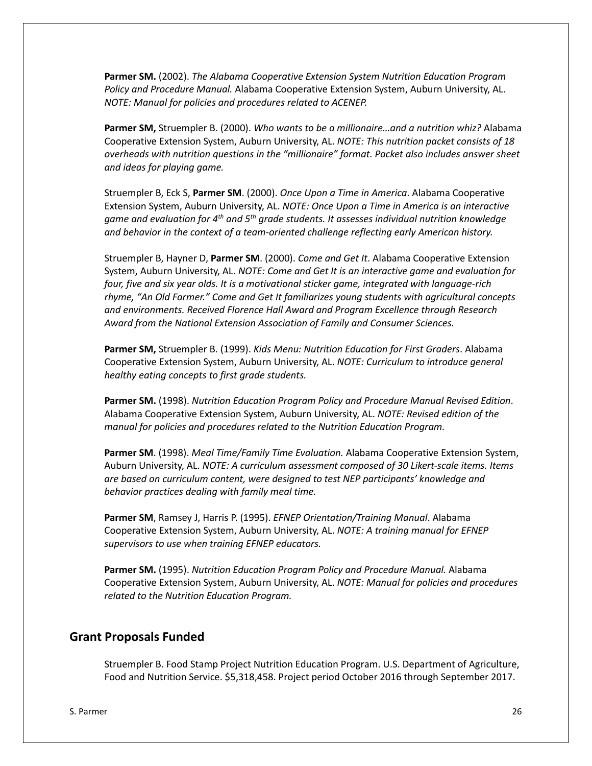**Parmer SM.** (2002). *The Alabama Cooperative Extension System Nutrition Education Program Policy and Procedure Manual.* Alabama Cooperative Extension System, Auburn University, AL. *NOTE: Manual for policies and procedures related to ACENEP.*

**Parmer SM,** Struempler B. (2000). *Who wants to be a millionaire…and a nutrition whiz?* Alabama Cooperative Extension System, Auburn University, AL. *NOTE: This nutrition packet consists of 18 overheads with nutrition questions in the "millionaire" format. Packet also includes answer sheet and ideas for playing game.* 

Struempler B, Eck S, **Parmer SM**. (2000). *Once Upon a Time in America*. Alabama Cooperative Extension System, Auburn University, AL. *NOTE: Once Upon a Time in America is an interactive game and evaluation for 4th and 5th grade students. It assesses individual nutrition knowledge and behavior in the context of a team-oriented challenge reflecting early American history.*

Struempler B, Hayner D, **Parmer SM**. (2000). *Come and Get It*. Alabama Cooperative Extension System, Auburn University, AL. *NOTE: Come and Get It is an interactive game and evaluation for four, five and six year olds. It is a motivational sticker game, integrated with language-rich rhyme, "An Old Farmer." Come and Get It familiarizes young students with agricultural concepts and environments. Received Florence Hall Award and Program Excellence through Research Award from the National Extension Association of Family and Consumer Sciences.* 

**Parmer SM,** Struempler B. (1999). *Kids Menu: Nutrition Education for First Graders*. Alabama Cooperative Extension System, Auburn University, AL. *NOTE: Curriculum to introduce general healthy eating concepts to first grade students.*

**Parmer SM.** (1998). *Nutrition Education Program Policy and Procedure Manual Revised Edition*. Alabama Cooperative Extension System, Auburn University, AL. *NOTE: Revised edition of the manual for policies and procedures related to the Nutrition Education Program.*

**Parmer SM**. (1998). *Meal Time/Family Time Evaluation.* Alabama Cooperative Extension System, Auburn University, AL. *NOTE: A curriculum assessment composed of 30 Likert-scale items. Items are based on curriculum content, were designed to test NEP participants' knowledge and behavior practices dealing with family meal time.*

**Parmer SM**, Ramsey J, Harris P. (1995). *EFNEP Orientation/Training Manual*. Alabama Cooperative Extension System, Auburn University, AL. *NOTE: A training manual for EFNEP supervisors to use when training EFNEP educators.*

**Parmer SM.** (1995). *Nutrition Education Program Policy and Procedure Manual.* Alabama Cooperative Extension System, Auburn University, AL. *NOTE: Manual for policies and procedures related to the Nutrition Education Program.*

#### **Grant Proposals Funded**

Struempler B. Food Stamp Project Nutrition Education Program. U.S. Department of Agriculture, Food and Nutrition Service. \$5,318,458. Project period October 2016 through September 2017.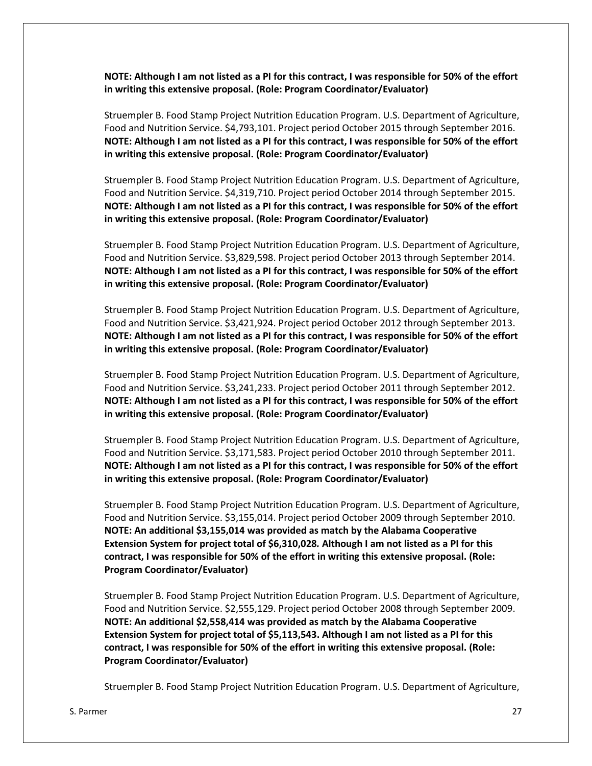**NOTE: Although I am not listed as a PI for this contract, I was responsible for 50% of the effort in writing this extensive proposal. (Role: Program Coordinator/Evaluator)**

Struempler B. Food Stamp Project Nutrition Education Program. U.S. Department of Agriculture, Food and Nutrition Service. \$4,793,101. Project period October 2015 through September 2016. **NOTE: Although I am not listed as a PI for this contract, I was responsible for 50% of the effort in writing this extensive proposal. (Role: Program Coordinator/Evaluator)**

Struempler B. Food Stamp Project Nutrition Education Program. U.S. Department of Agriculture, Food and Nutrition Service. \$4,319,710. Project period October 2014 through September 2015. **NOTE: Although I am not listed as a PI for this contract, I was responsible for 50% of the effort in writing this extensive proposal. (Role: Program Coordinator/Evaluator)**

Struempler B. Food Stamp Project Nutrition Education Program. U.S. Department of Agriculture, Food and Nutrition Service. \$3,829,598. Project period October 2013 through September 2014. **NOTE: Although I am not listed as a PI for this contract, I was responsible for 50% of the effort in writing this extensive proposal. (Role: Program Coordinator/Evaluator)**

Struempler B. Food Stamp Project Nutrition Education Program. U.S. Department of Agriculture, Food and Nutrition Service. \$3,421,924. Project period October 2012 through September 2013. **NOTE: Although I am not listed as a PI for this contract, I was responsible for 50% of the effort in writing this extensive proposal. (Role: Program Coordinator/Evaluator)**

Struempler B. Food Stamp Project Nutrition Education Program. U.S. Department of Agriculture, Food and Nutrition Service. \$3,241,233. Project period October 2011 through September 2012. **NOTE: Although I am not listed as a PI for this contract, I was responsible for 50% of the effort in writing this extensive proposal. (Role: Program Coordinator/Evaluator)**

Struempler B. Food Stamp Project Nutrition Education Program. U.S. Department of Agriculture, Food and Nutrition Service. \$3,171,583. Project period October 2010 through September 2011. **NOTE: Although I am not listed as a PI for this contract, I was responsible for 50% of the effort in writing this extensive proposal. (Role: Program Coordinator/Evaluator)**

Struempler B. Food Stamp Project Nutrition Education Program. U.S. Department of Agriculture, Food and Nutrition Service. \$3,155,014. Project period October 2009 through September 2010. **NOTE: An additional \$3,155,014 was provided as match by the Alabama Cooperative Extension System for project total of \$6,310,028***.* **Although I am not listed as a PI for this contract, I was responsible for 50% of the effort in writing this extensive proposal. (Role: Program Coordinator/Evaluator)**

Struempler B. Food Stamp Project Nutrition Education Program. U.S. Department of Agriculture, Food and Nutrition Service. \$2,555,129. Project period October 2008 through September 2009. **NOTE: An additional \$2,558,414 was provided as match by the Alabama Cooperative Extension System for project total of \$5,113,543. Although I am not listed as a PI for this contract, I was responsible for 50% of the effort in writing this extensive proposal. (Role: Program Coordinator/Evaluator)**

Struempler B. Food Stamp Project Nutrition Education Program. U.S. Department of Agriculture,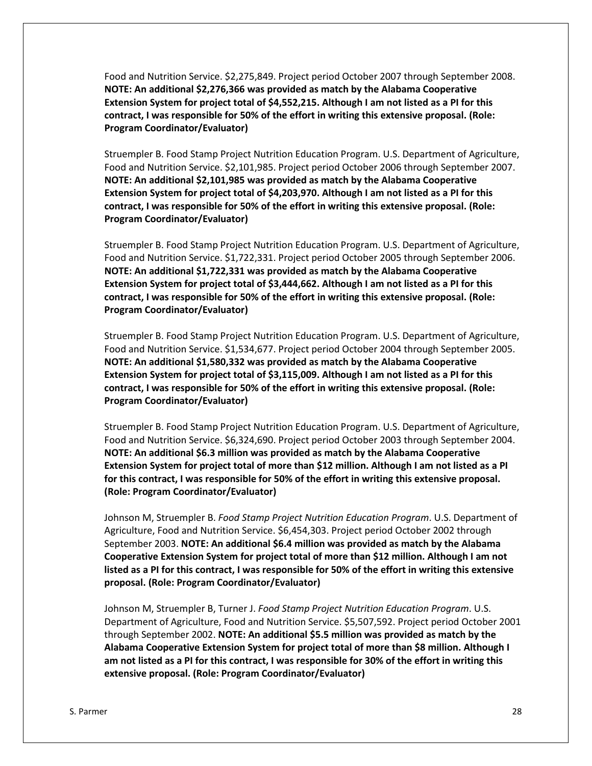Food and Nutrition Service. \$2,275,849. Project period October 2007 through September 2008. **NOTE: An additional \$2,276,366 was provided as match by the Alabama Cooperative Extension System for project total of \$4,552,215. Although I am not listed as a PI for this contract, I was responsible for 50% of the effort in writing this extensive proposal. (Role: Program Coordinator/Evaluator)**

Struempler B. Food Stamp Project Nutrition Education Program. U.S. Department of Agriculture, Food and Nutrition Service. \$2,101,985. Project period October 2006 through September 2007. **NOTE: An additional \$2,101,985 was provided as match by the Alabama Cooperative Extension System for project total of \$4,203,970. Although I am not listed as a PI for this contract, I was responsible for 50% of the effort in writing this extensive proposal. (Role: Program Coordinator/Evaluator)**

Struempler B. Food Stamp Project Nutrition Education Program. U.S. Department of Agriculture, Food and Nutrition Service. \$1,722,331. Project period October 2005 through September 2006. **NOTE: An additional \$1,722,331 was provided as match by the Alabama Cooperative Extension System for project total of \$3,444,662. Although I am not listed as a PI for this contract, I was responsible for 50% of the effort in writing this extensive proposal. (Role: Program Coordinator/Evaluator)**

Struempler B. Food Stamp Project Nutrition Education Program. U.S. Department of Agriculture, Food and Nutrition Service. \$1,534,677. Project period October 2004 through September 2005. **NOTE: An additional \$1,580,332 was provided as match by the Alabama Cooperative Extension System for project total of \$3,115,009. Although I am not listed as a PI for this contract, I was responsible for 50% of the effort in writing this extensive proposal. (Role: Program Coordinator/Evaluator)**

Struempler B. Food Stamp Project Nutrition Education Program. U.S. Department of Agriculture, Food and Nutrition Service. \$6,324,690. Project period October 2003 through September 2004. **NOTE: An additional \$6.3 million was provided as match by the Alabama Cooperative Extension System for project total of more than \$12 million. Although I am not listed as a PI for this contract, I was responsible for 50% of the effort in writing this extensive proposal. (Role: Program Coordinator/Evaluator)**

Johnson M, Struempler B. *Food Stamp Project Nutrition Education Program*. U.S. Department of Agriculture, Food and Nutrition Service. \$6,454,303. Project period October 2002 through September 2003. **NOTE: An additional \$6.4 million was provided as match by the Alabama Cooperative Extension System for project total of more than \$12 million. Although I am not listed as a PI for this contract, I was responsible for 50% of the effort in writing this extensive proposal. (Role: Program Coordinator/Evaluator)**

Johnson M, Struempler B, Turner J. *Food Stamp Project Nutrition Education Program*. U.S. Department of Agriculture, Food and Nutrition Service. \$5,507,592. Project period October 2001 through September 2002. **NOTE: An additional \$5.5 million was provided as match by the Alabama Cooperative Extension System for project total of more than \$8 million. Although I am not listed as a PI for this contract, I was responsible for 30% of the effort in writing this extensive proposal. (Role: Program Coordinator/Evaluator)**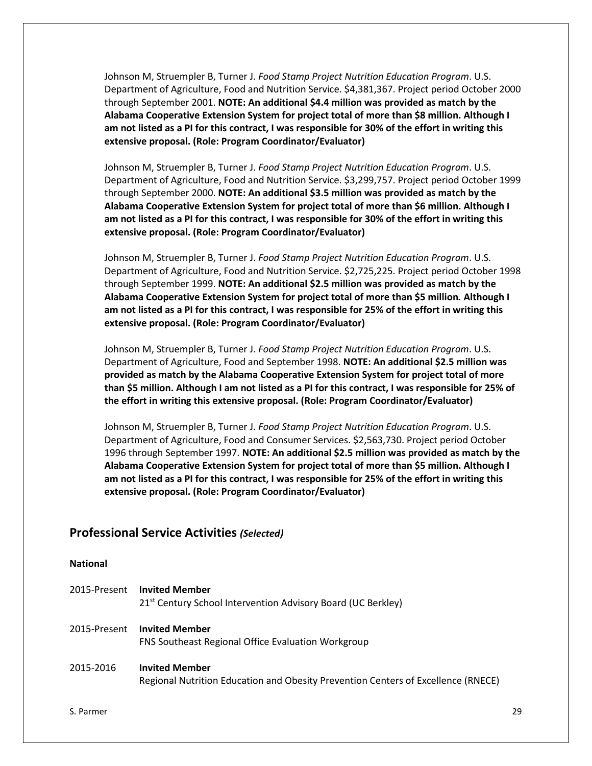Johnson M, Struempler B, Turner J. *Food Stamp Project Nutrition Education Program*. U.S. Department of Agriculture, Food and Nutrition Service. \$4,381,367. Project period October 2000 through September 2001. **NOTE: An additional \$4.4 million was provided as match by the Alabama Cooperative Extension System for project total of more than \$8 million. Although I am not listed as a PI for this contract, I was responsible for 30% of the effort in writing this extensive proposal. (Role: Program Coordinator/Evaluator)**

Johnson M, Struempler B, Turner J. *Food Stamp Project Nutrition Education Program*. U.S. Department of Agriculture, Food and Nutrition Service. \$3,299,757. Project period October 1999 through September 2000. **NOTE: An additional \$3.5 million was provided as match by the Alabama Cooperative Extension System for project total of more than \$6 million. Although I am not listed as a PI for this contract, I was responsible for 30% of the effort in writing this extensive proposal. (Role: Program Coordinator/Evaluator)**

Johnson M, Struempler B, Turner J. *Food Stamp Project Nutrition Education Program*. U.S. Department of Agriculture, Food and Nutrition Service. \$2,725,225. Project period October 1998 through September 1999. **NOTE: An additional \$2.5 million was provided as match by the Alabama Cooperative Extension System for project total of more than \$5 million***.* **Although I am not listed as a PI for this contract, I was responsible for 25% of the effort in writing this extensive proposal. (Role: Program Coordinator/Evaluator)**

Johnson M, Struempler B, Turner J. *Food Stamp Project Nutrition Education Program*. U.S. Department of Agriculture, Food and September 1998. **NOTE: An additional \$2.5 million was provided as match by the Alabama Cooperative Extension System for project total of more than \$5 million. Although I am not listed as a PI for this contract, I was responsible for 25% of the effort in writing this extensive proposal. (Role: Program Coordinator/Evaluator)**

Johnson M, Struempler B, Turner J. *Food Stamp Project Nutrition Education Program*. U.S. Department of Agriculture, Food and Consumer Services. \$2,563,730. Project period October 1996 through September 1997. **NOTE: An additional \$2.5 million was provided as match by the Alabama Cooperative Extension System for project total of more than \$5 million. Although I am not listed as a PI for this contract, I was responsible for 25% of the effort in writing this extensive proposal. (Role: Program Coordinator/Evaluator)**

#### **Professional Service Activities** *(Selected)*

#### **National**

| 2015-Present | <b>Invited Member</b><br>21 <sup>st</sup> Century School Intervention Advisory Board (UC Berkley)          |
|--------------|------------------------------------------------------------------------------------------------------------|
| 2015-Present | <b>Invited Member</b><br><b>FNS Southeast Regional Office Evaluation Workgroup</b>                         |
| 2015-2016    | <b>Invited Member</b><br>Regional Nutrition Education and Obesity Prevention Centers of Excellence (RNECE) |

S. Parmer 29 No. 2014 12:30 S. Parmer 2014 12:30 S. Parmer 2014 12:30 S. Parmer 2014 12:30 S. Parmer 2014 12:30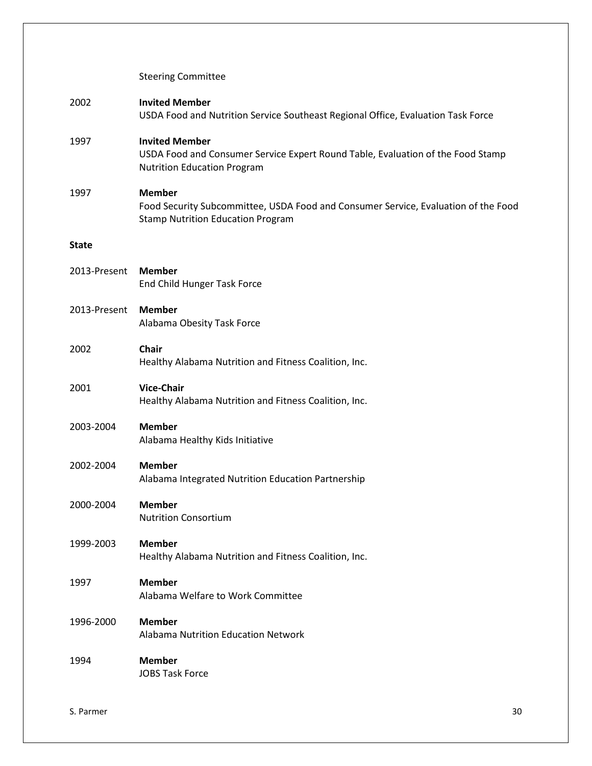|              | <b>Steering Committee</b>                                                                                                                       |    |
|--------------|-------------------------------------------------------------------------------------------------------------------------------------------------|----|
| 2002         | <b>Invited Member</b><br>USDA Food and Nutrition Service Southeast Regional Office, Evaluation Task Force                                       |    |
| 1997         | <b>Invited Member</b><br>USDA Food and Consumer Service Expert Round Table, Evaluation of the Food Stamp<br><b>Nutrition Education Program</b>  |    |
| 1997         | <b>Member</b><br>Food Security Subcommittee, USDA Food and Consumer Service, Evaluation of the Food<br><b>Stamp Nutrition Education Program</b> |    |
| <b>State</b> |                                                                                                                                                 |    |
| 2013-Present | <b>Member</b><br>End Child Hunger Task Force                                                                                                    |    |
| 2013-Present | <b>Member</b><br>Alabama Obesity Task Force                                                                                                     |    |
| 2002         | <b>Chair</b><br>Healthy Alabama Nutrition and Fitness Coalition, Inc.                                                                           |    |
| 2001         | <b>Vice-Chair</b><br>Healthy Alabama Nutrition and Fitness Coalition, Inc.                                                                      |    |
| 2003-2004    | <b>Member</b><br>Alabama Healthy Kids Initiative                                                                                                |    |
| 2002-2004    | <b>Member</b><br>Alabama Integrated Nutrition Education Partnership                                                                             |    |
| 2000-2004    | <b>Member</b><br><b>Nutrition Consortium</b>                                                                                                    |    |
| 1999-2003    | <b>Member</b><br>Healthy Alabama Nutrition and Fitness Coalition, Inc.                                                                          |    |
| 1997         | <b>Member</b><br>Alabama Welfare to Work Committee                                                                                              |    |
| 1996-2000    | <b>Member</b><br>Alabama Nutrition Education Network                                                                                            |    |
| 1994         | <b>Member</b><br><b>JOBS Task Force</b>                                                                                                         |    |
| S. Parmer    |                                                                                                                                                 | 30 |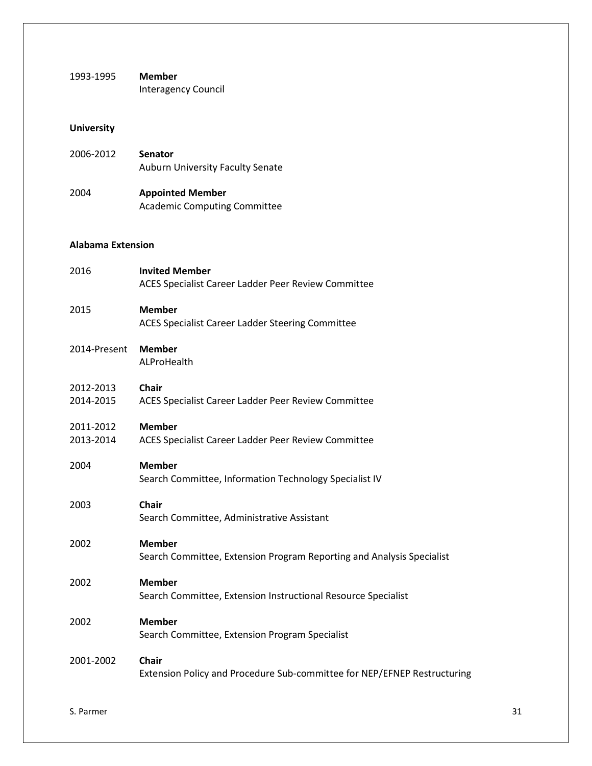| 1993-1995 | Member                     |
|-----------|----------------------------|
|           | <b>Interagency Council</b> |

### **University**

| 2006-2012 | <b>Senator</b>                          |
|-----------|-----------------------------------------|
|           | <b>Auburn University Faculty Senate</b> |

2004 **Appointed Member** Academic Computing Committee

#### **Alabama Extension**

| 2016                   | <b>Invited Member</b><br>ACES Specialist Career Ladder Peer Review Committee             |    |
|------------------------|------------------------------------------------------------------------------------------|----|
| 2015                   | <b>Member</b><br>ACES Specialist Career Ladder Steering Committee                        |    |
| 2014-Present           | <b>Member</b><br>ALProHealth                                                             |    |
| 2012-2013<br>2014-2015 | <b>Chair</b><br>ACES Specialist Career Ladder Peer Review Committee                      |    |
| 2011-2012<br>2013-2014 | <b>Member</b><br>ACES Specialist Career Ladder Peer Review Committee                     |    |
| 2004                   | <b>Member</b><br>Search Committee, Information Technology Specialist IV                  |    |
| 2003                   | <b>Chair</b><br>Search Committee, Administrative Assistant                               |    |
| 2002                   | <b>Member</b><br>Search Committee, Extension Program Reporting and Analysis Specialist   |    |
| 2002                   | <b>Member</b><br>Search Committee, Extension Instructional Resource Specialist           |    |
| 2002                   | <b>Member</b><br>Search Committee, Extension Program Specialist                          |    |
| 2001-2002              | <b>Chair</b><br>Extension Policy and Procedure Sub-committee for NEP/EFNEP Restructuring |    |
| S. Parmer              |                                                                                          | 31 |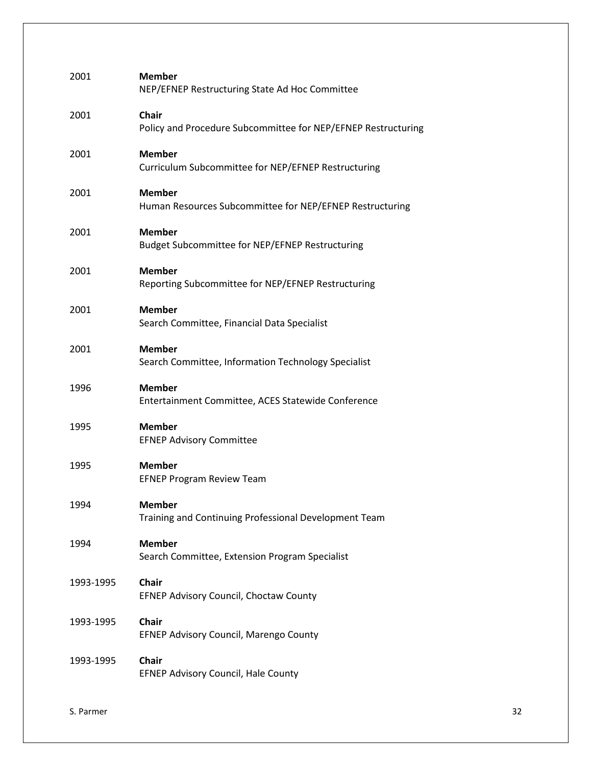| 2001      | <b>Member</b><br>NEP/EFNEP Restructuring State Ad Hoc Committee           |
|-----------|---------------------------------------------------------------------------|
| 2001      | Chair<br>Policy and Procedure Subcommittee for NEP/EFNEP Restructuring    |
| 2001      | <b>Member</b><br>Curriculum Subcommittee for NEP/EFNEP Restructuring      |
| 2001      | <b>Member</b><br>Human Resources Subcommittee for NEP/EFNEP Restructuring |
| 2001      | <b>Member</b><br>Budget Subcommittee for NEP/EFNEP Restructuring          |
| 2001      | <b>Member</b><br>Reporting Subcommittee for NEP/EFNEP Restructuring       |
| 2001      | <b>Member</b><br>Search Committee, Financial Data Specialist              |
| 2001      | <b>Member</b><br>Search Committee, Information Technology Specialist      |
| 1996      | <b>Member</b><br>Entertainment Committee, ACES Statewide Conference       |
| 1995      | <b>Member</b><br><b>EFNEP Advisory Committee</b>                          |
| 1995      | <b>Member</b><br><b>EFNEP Program Review Team</b>                         |
| 1994      | <b>Member</b><br>Training and Continuing Professional Development Team    |
| 1994      | <b>Member</b><br>Search Committee, Extension Program Specialist           |
| 1993-1995 | <b>Chair</b><br>EFNEP Advisory Council, Choctaw County                    |
| 1993-1995 | <b>Chair</b><br>EFNEP Advisory Council, Marengo County                    |
| 1993-1995 | Chair<br>EFNEP Advisory Council, Hale County                              |